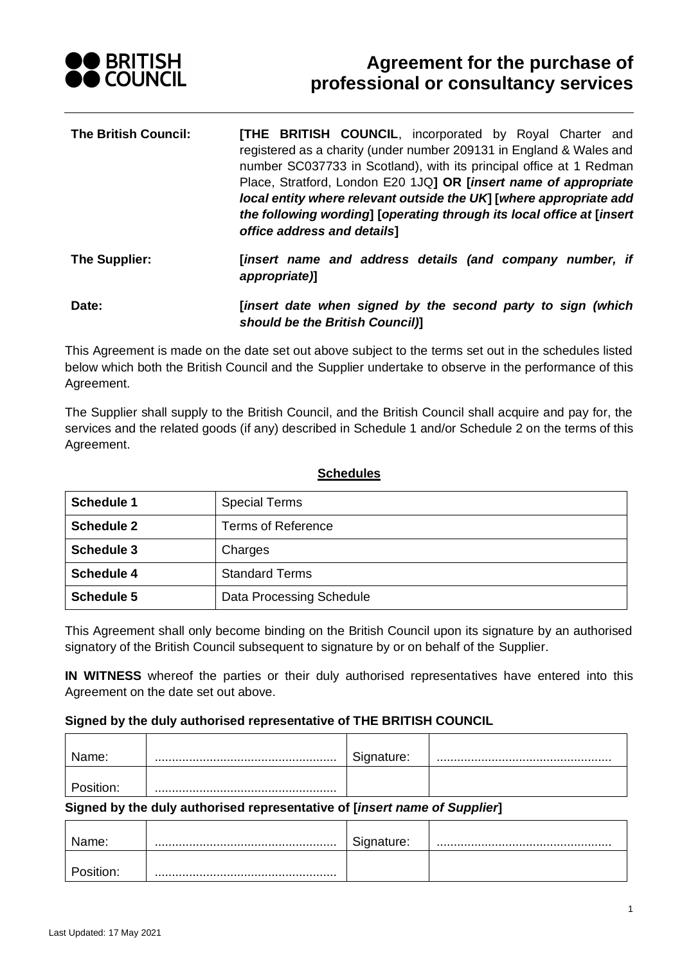

# **Agreement for the purchase of professional or consultancy services**

| <b>The British Council:</b> | <b>[THE BRITISH COUNCIL, incorporated by Royal Charter and</b><br>registered as a charity (under number 209131 in England & Wales and<br>number SC037733 in Scotland), with its principal office at 1 Redman<br>Place, Stratford, London E20 1JQ] OR [insert name of appropriate<br>local entity where relevant outside the UK [where appropriate add<br>the following wording] [operating through its local office at [insert] |
|-----------------------------|---------------------------------------------------------------------------------------------------------------------------------------------------------------------------------------------------------------------------------------------------------------------------------------------------------------------------------------------------------------------------------------------------------------------------------|
|                             | office address and details]                                                                                                                                                                                                                                                                                                                                                                                                     |
| The Supplier:               | [insert name and address details (and company number, if                                                                                                                                                                                                                                                                                                                                                                        |

*appropriate)***] Date: [***insert date when signed by the second party to sign (which* 

*should be the British Council)***]**

This Agreement is made on the date set out above subject to the terms set out in the schedules listed below which both the British Council and the Supplier undertake to observe in the performance of this Agreement.

The Supplier shall supply to the British Council, and the British Council shall acquire and pay for, the services and the related goods (if any) described in Schedule 1 and/or Schedule 2 on the terms of this Agreement.

| <b>Schedule 1</b> | <b>Special Terms</b>      |
|-------------------|---------------------------|
| <b>Schedule 2</b> | <b>Terms of Reference</b> |
| <b>Schedule 3</b> | Charges                   |
| <b>Schedule 4</b> | <b>Standard Terms</b>     |
| <b>Schedule 5</b> | Data Processing Schedule  |

#### **Schedules**

This Agreement shall only become binding on the British Council upon its signature by an authorised signatory of the British Council subsequent to signature by or on behalf of the Supplier.

**IN WITNESS** whereof the parties or their duly authorised representatives have entered into this Agreement on the date set out above.

#### **Signed by the duly authorised representative of THE BRITISH COUNCIL**

| 'ame: | nature: |  |
|-------|---------|--|
|       |         |  |

#### **Signed by the duly authorised representative of [***insert name of Supplier***]**

| lame:   | Signature: |  |
|---------|------------|--|
| sition: |            |  |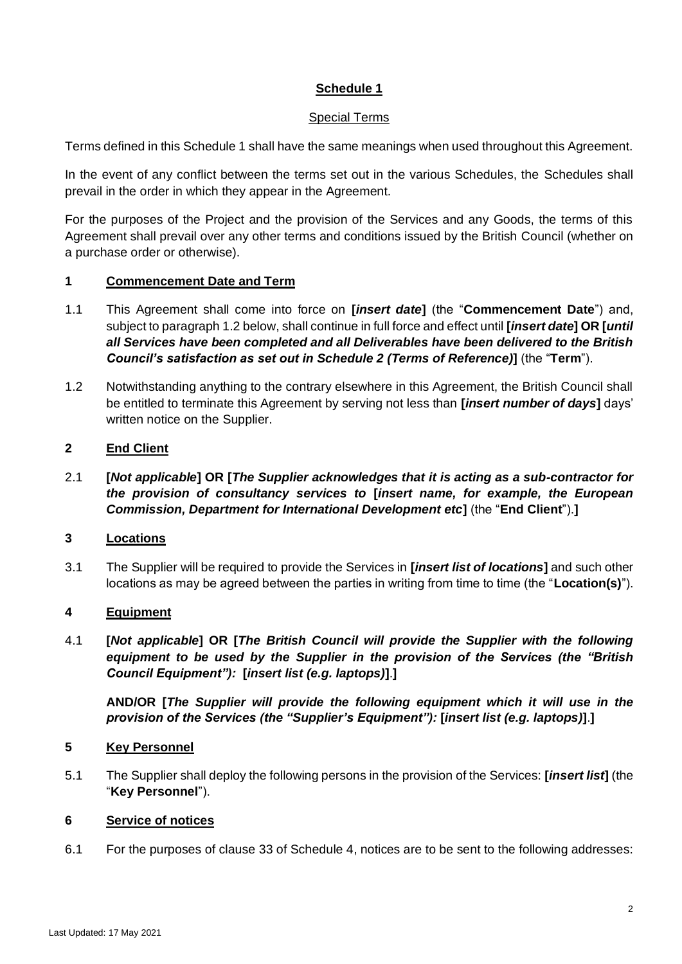### **Special Terms**

Terms defined in this Schedule 1 shall have the same meanings when used throughout this Agreement.

In the event of any conflict between the terms set out in the various Schedules, the Schedules shall prevail in the order in which they appear in the Agreement.

For the purposes of the Project and the provision of the Services and any Goods, the terms of this Agreement shall prevail over any other terms and conditions issued by the British Council (whether on a purchase order or otherwise).

### **1 Commencement Date and Term**

- 1.1 This Agreement shall come into force on **[***insert date***]** (the "**Commencement Date**") and, subject to paragraph [1.2](#page-1-0) below, shall continue in full force and effect until **[***insert date***] OR [***until all Services have been completed and all Deliverables have been delivered to the British Council's satisfaction as set out in Schedule 2 (Terms of Reference)***]** (the "**Term**").
- <span id="page-1-0"></span>1.2 Notwithstanding anything to the contrary elsewhere in this Agreement, the British Council shall be entitled to terminate this Agreement by serving not less than **[***insert number of days***]** days' written notice on the Supplier.

# **2 End Client**

2.1 **[***Not applicable***] OR [***The Supplier acknowledges that it is acting as a sub-contractor for the provision of consultancy services to* **[***insert name, for example, the European Commission, Department for International Development etc***]** (the "**End Client**").**]**

# **3 Locations**

3.1 The Supplier will be required to provide the Services in **[***insert list of locations***]** and such other locations as may be agreed between the parties in writing from time to time (the "**Location(s)**").

# **4 Equipment**

4.1 **[***Not applicable***] OR [***The British Council will provide the Supplier with the following equipment to be used by the Supplier in the provision of the Services (the "British Council Equipment"):* **[***insert list (e.g. laptops)***]**.**]**

**AND/OR [***The Supplier will provide the following equipment which it will use in the provision of the Services (the "Supplier's Equipment"):* **[***insert list (e.g. laptops)***]**.**]**

# **5 Key Personnel**

5.1 The Supplier shall deploy the following persons in the provision of the Services: **[***insert list***]** (the "**Key Personnel**").

#### **6 Service of notices**

6.1 For the purposes of clause [33](#page-34-0) of Schedule 4, notices are to be sent to the following addresses: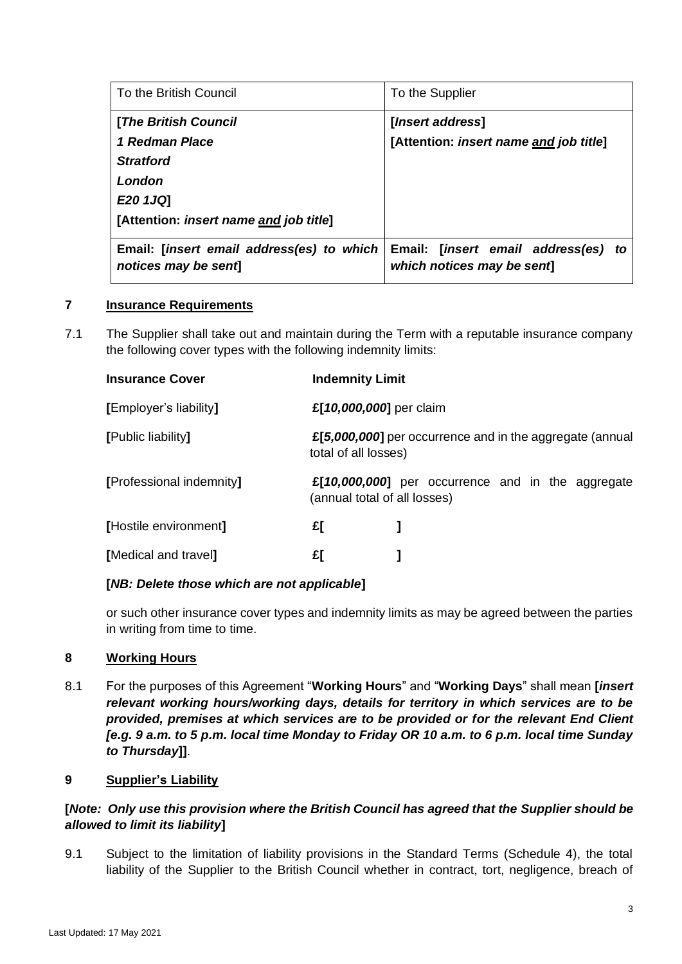| To the British Council                                           | To the Supplier                                                   |
|------------------------------------------------------------------|-------------------------------------------------------------------|
| [The British Council                                             | [ <i>Insert address</i> ]                                         |
| 1 Redman Place                                                   | [Attention: insert name and job title]                            |
| <b>Stratford</b>                                                 |                                                                   |
| London                                                           |                                                                   |
| E20 1JQ]                                                         |                                                                   |
| [Attention: insert name and job title]                           |                                                                   |
| Email: [insert email address(es) to which<br>notices may be sent | Email: [insert email address(es) to<br>which notices may be sent] |

#### **7 Insurance Requirements**

7.1 The Supplier shall take out and maintain during the Term with a reputable insurance company the following cover types with the following indemnity limits:

| <b>Indemnity Limit</b>                                                           |                                                   |  |
|----------------------------------------------------------------------------------|---------------------------------------------------|--|
| £[10,000,000] per claim                                                          |                                                   |  |
| £[5,000,000] per occurrence and in the aggregate (annual<br>total of all losses) |                                                   |  |
| (annual total of all losses)                                                     | £[10,000,000] per occurrence and in the aggregate |  |
| £[                                                                               |                                                   |  |
| £[                                                                               |                                                   |  |
|                                                                                  |                                                   |  |

#### **[***NB: Delete those which are not applicable***]**

or such other insurance cover types and indemnity limits as may be agreed between the parties in writing from time to time.

### **8 Working Hours**

8.1 For the purposes of this Agreement "**Working Hours**" and "**Working Days**" shall mean **[***insert relevant working hours/working days, details for territory in which services are to be provided, premises at which services are to be provided or for the relevant End Client [e.g. 9 a.m. to 5 p.m. local time Monday to Friday OR 10 a.m. to 6 p.m. local time Sunday to Thursday***]]**.

### **9 Supplier's Liability**

### **[***Note: Only use this provision where the British Council has agreed that the Supplier should be allowed to limit its liability***]**

9.1 Subject to the limitation of liability provisions in the Standard Terms (Schedule 4), the total liability of the Supplier to the British Council whether in contract, tort, negligence, breach of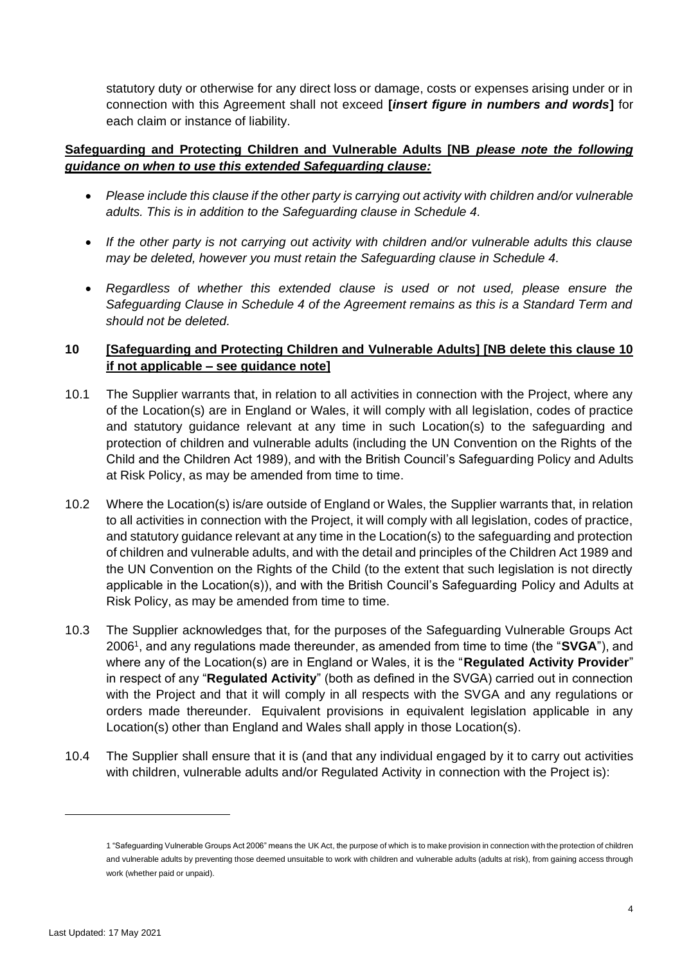statutory duty or otherwise for any direct loss or damage, costs or expenses arising under or in connection with this Agreement shall not exceed **[***insert figure in numbers and words***]** for each claim or instance of liability.

### **Safeguarding and Protecting Children and Vulnerable Adults [NB** *please note the following guidance on when to use this extended Safeguarding clause:*

- Please include this clause if the other party is carrying out activity with children and/or vulnerable *adults. This is in addition to the Safeguarding clause in Schedule 4.*
- *If the other party is not carrying out activity with children and/or vulnerable adults this clause may be deleted, however you must retain the Safeguarding clause in Schedule 4.*
- *Regardless of whether this extended clause is used or not used, please ensure the Safeguarding Clause in Schedule 4 of the Agreement remains as this is a Standard Term and should not be deleted.*

# <span id="page-3-1"></span>**10 [Safeguarding and Protecting Children and Vulnerable Adults] [NB delete this clause 10 if not applicable – see guidance note]**

- 10.1 The Supplier warrants that, in relation to all activities in connection with the Project, where any of the Location(s) are in England or Wales, it will comply with all legislation, codes of practice and statutory guidance relevant at any time in such Location(s) to the safeguarding and protection of children and vulnerable adults (including the UN Convention on the Rights of the Child and the Children Act 1989), and with the British Council's Safeguarding Policy and Adults at Risk Policy, as may be amended from time to time.
- 10.2 Where the Location(s) is/are outside of England or Wales, the Supplier warrants that, in relation to all activities in connection with the Project, it will comply with all legislation, codes of practice, and statutory guidance relevant at any time in the Location(s) to the safeguarding and protection of children and vulnerable adults, and with the detail and principles of the Children Act 1989 and the UN Convention on the Rights of the Child (to the extent that such legislation is not directly applicable in the Location(s)), and with the British Council's Safeguarding Policy and Adults at Risk Policy, as may be amended from time to time.
- 10.3 The Supplier acknowledges that, for the purposes of the Safeguarding Vulnerable Groups Act 2006<sup>1</sup> , and any regulations made thereunder, as amended from time to time (the "**SVGA**"), and where any of the Location(s) are in England or Wales, it is the "**Regulated Activity Provider**" in respect of any "**Regulated Activity**" (both as defined in the SVGA) carried out in connection with the Project and that it will comply in all respects with the SVGA and any regulations or orders made thereunder. Equivalent provisions in equivalent legislation applicable in any Location(s) other than England and Wales shall apply in those Location(s).
- <span id="page-3-0"></span>10.4 The Supplier shall ensure that it is (and that any individual engaged by it to carry out activities with children, vulnerable adults and/or Regulated Activity in connection with the Project is):

<sup>1</sup> "Safeguarding Vulnerable Groups Act 2006" means the UK Act, the purpose of which is to make provision in connection with the protection of children and vulnerable adults by preventing those deemed unsuitable to work with children and vulnerable adults (adults at risk), from gaining access through work (whether paid or unpaid).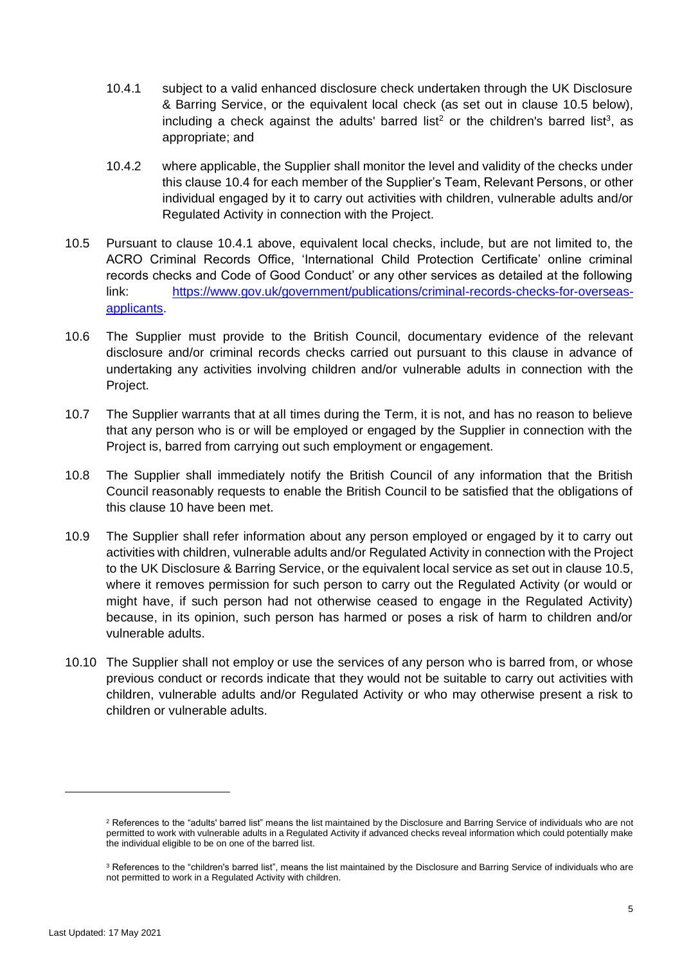- <span id="page-4-1"></span>10.4.1 subject to a valid enhanced disclosure check undertaken through the UK Disclosure & Barring Service, or the equivalent local check (as set out in clause [10.5](#page-4-0) below), including a check against the adults' barred list<sup>2</sup> or the children's barred list<sup>3</sup>, as appropriate; and
- 10.4.2 where applicable, the Supplier shall monitor the level and validity of the checks under this clause [10.4](#page-3-0) for each member of the Supplier's Team, Relevant Persons, or other individual engaged by it to carry out activities with children, vulnerable adults and/or Regulated Activity in connection with the Project.
- <span id="page-4-0"></span>10.5 Pursuant to clause [10.4.1](#page-4-1) above, equivalent local checks, include, but are not limited to, the ACRO Criminal Records Office, 'International Child Protection Certificate' online criminal records checks and Code of Good Conduct' or any other services as detailed at the following link: [https://www.gov.uk/government/publications/criminal-records-checks-for-overseas](https://www.gov.uk/government/publications/criminal-records-checks-for-overseas-applicants)[applicants.](https://www.gov.uk/government/publications/criminal-records-checks-for-overseas-applicants)
- 10.6 The Supplier must provide to the British Council, documentary evidence of the relevant disclosure and/or criminal records checks carried out pursuant to this clause in advance of undertaking any activities involving children and/or vulnerable adults in connection with the Project.
- 10.7 The Supplier warrants that at all times during the Term, it is not, and has no reason to believe that any person who is or will be employed or engaged by the Supplier in connection with the Project is, barred from carrying out such employment or engagement.
- 10.8 The Supplier shall immediately notify the British Council of any information that the British Council reasonably requests to enable the British Council to be satisfied that the obligations of this clause [10](#page-3-1) have been met.
- 10.9 The Supplier shall refer information about any person employed or engaged by it to carry out activities with children, vulnerable adults and/or Regulated Activity in connection with the Project to the UK Disclosure & Barring Service, or the equivalent local service as set out in clause [10.5,](#page-4-0) where it removes permission for such person to carry out the Regulated Activity (or would or might have, if such person had not otherwise ceased to engage in the Regulated Activity) because, in its opinion, such person has harmed or poses a risk of harm to children and/or vulnerable adults.
- 10.10 The Supplier shall not employ or use the services of any person who is barred from, or whose previous conduct or records indicate that they would not be suitable to carry out activities with children, vulnerable adults and/or Regulated Activity or who may otherwise present a risk to children or vulnerable adults.

<sup>&</sup>lt;sup>2</sup> References to the "adults' barred list" means the list maintained by the Disclosure and Barring Service of individuals who are not permitted to work with vulnerable adults in a Regulated Activity if advanced checks reveal information which could potentially make the individual eligible to be on one of the barred list.

<sup>&</sup>lt;sup>3</sup> References to the "children's barred list", means the list maintained by the Disclosure and Barring Service of individuals who are not permitted to work in a Regulated Activity with children.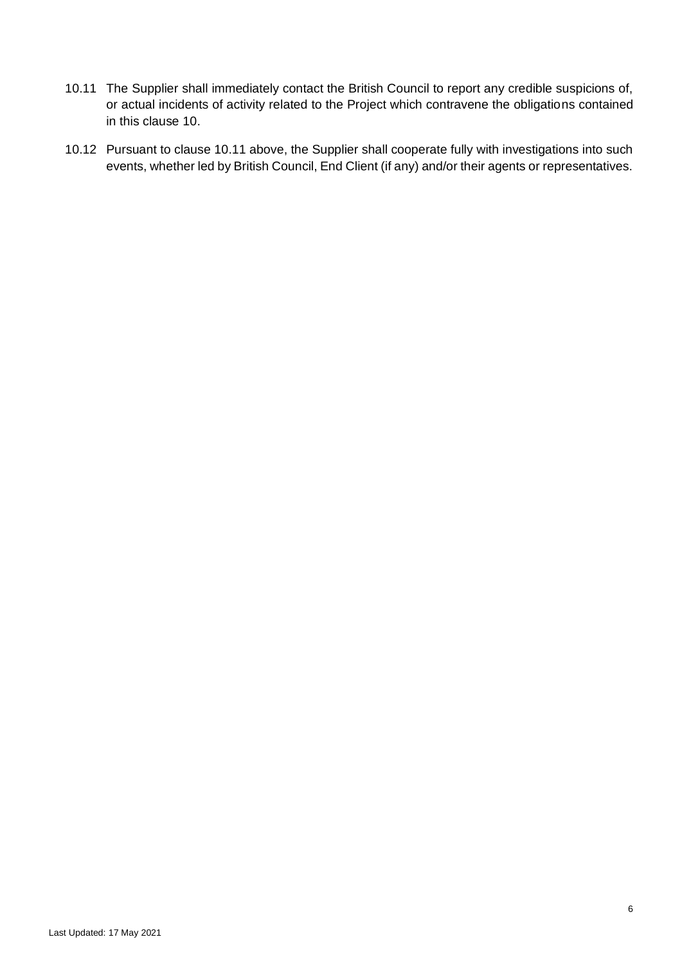- <span id="page-5-0"></span>10.11 The Supplier shall immediately contact the British Council to report any credible suspicions of, or actual incidents of activity related to the Project which contravene the obligations contained in this clause [10.](#page-3-1)
- 10.12 Pursuant to clause [10.11](#page-5-0) above, the Supplier shall cooperate fully with investigations into such events, whether led by British Council, End Client (if any) and/or their agents or representatives.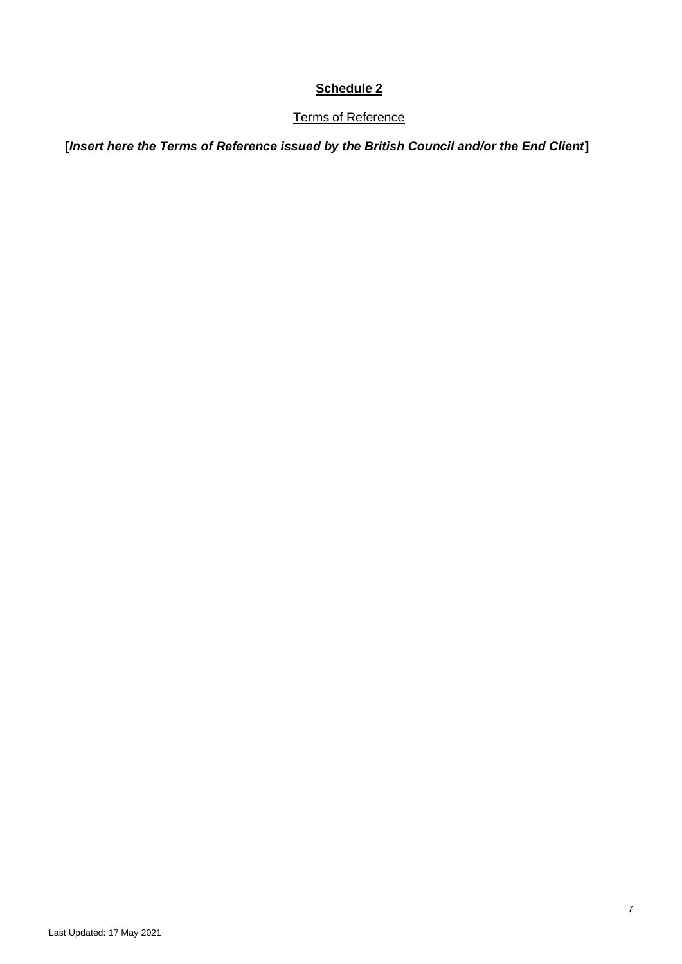# Terms of Reference

**[***Insert here the Terms of Reference issued by the British Council and/or the End Client***]**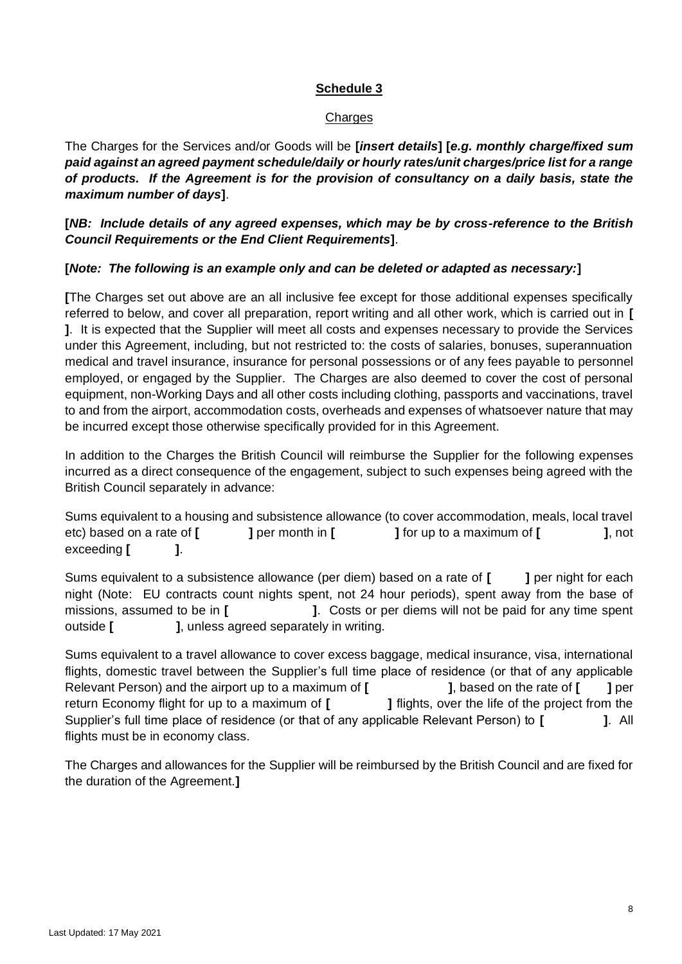### **Charges**

The Charges for the Services and/or Goods will be **[***insert details***] [***e.g. monthly charge/fixed sum paid against an agreed payment schedule/daily or hourly rates/unit charges/price list for a range of products. If the Agreement is for the provision of consultancy on a daily basis, state the maximum number of days***]**.

**[***NB: Include details of any agreed expenses, which may be by cross-reference to the British Council Requirements or the End Client Requirements***]**.

### **[***Note: The following is an example only and can be deleted or adapted as necessary:***]**

**[**The Charges set out above are an all inclusive fee except for those additional expenses specifically referred to below, and cover all preparation, report writing and all other work, which is carried out in **[ ]**. It is expected that the Supplier will meet all costs and expenses necessary to provide the Services under this Agreement, including, but not restricted to: the costs of salaries, bonuses, superannuation medical and travel insurance, insurance for personal possessions or of any fees payable to personnel employed, or engaged by the Supplier. The Charges are also deemed to cover the cost of personal equipment, non-Working Days and all other costs including clothing, passports and vaccinations, travel to and from the airport, accommodation costs, overheads and expenses of whatsoever nature that may be incurred except those otherwise specifically provided for in this Agreement.

In addition to the Charges the British Council will reimburse the Supplier for the following expenses incurred as a direct consequence of the engagement, subject to such expenses being agreed with the British Council separately in advance:

Sums equivalent to a housing and subsistence allowance (to cover accommodation, meals, local travel etc) based on a rate of **[ ]** per month in **[ ]** for up to a maximum of **[ ]**, not exceeding **[ ]**.

Sums equivalent to a subsistence allowance (per diem) based on a rate of [ ] per night for each night (Note: EU contracts count nights spent, not 24 hour periods), spent away from the base of missions, assumed to be in **[ ]**. Costs or per diems will not be paid for any time spent outside **[ ]**, unless agreed separately in writing.

Sums equivalent to a travel allowance to cover excess baggage, medical insurance, visa, international flights, domestic travel between the Supplier's full time place of residence (or that of any applicable Relevant Person) and the airport up to a maximum of **[ ]**, based on the rate of **[ ]** per return Economy flight for up to a maximum of **[ ]** flights, over the life of the project from the Supplier's full time place of residence (or that of any applicable Relevant Person) to **[ ]**. All flights must be in economy class.

The Charges and allowances for the Supplier will be reimbursed by the British Council and are fixed for the duration of the Agreement.**]**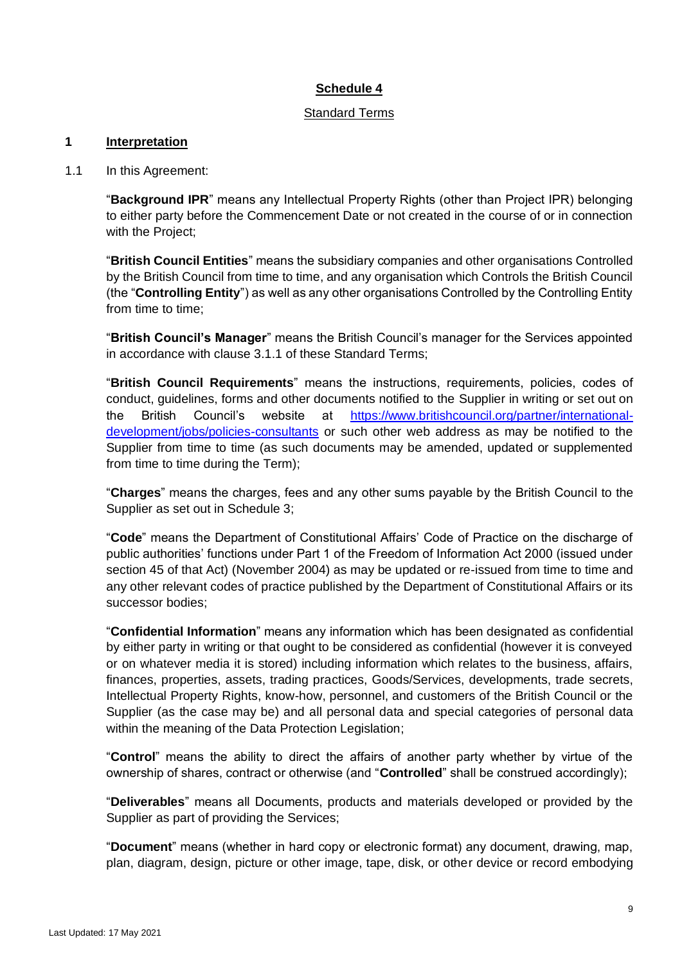### Standard Terms

#### **1 Interpretation**

1.1 In this Agreement:

"**Background IPR**" means any Intellectual Property Rights (other than Project IPR) belonging to either party before the Commencement Date or not created in the course of or in connection with the Project;

"**British Council Entities**" means the subsidiary companies and other organisations Controlled by the British Council from time to time, and any organisation which Controls the British Council (the "**Controlling Entity**") as well as any other organisations Controlled by the Controlling Entity from time to time:

"**British Council's Manager**" means the British Council's manager for the Services appointed in accordance with clause [3.1.1](#page-13-0) of these Standard Terms;

"**British Council Requirements**" means the instructions, requirements, policies, codes of conduct, guidelines, forms and other documents notified to the Supplier in writing or set out on the British Council's website at [https://www.britishcouncil.org/partner/international](https://www.britishcouncil.org/partner/international-development/jobs/policies-consultants)[development/jobs/policies-consultants](https://www.britishcouncil.org/partner/international-development/jobs/policies-consultants) or such other web address as may be notified to the Supplier from time to time (as such documents may be amended, updated or supplemented from time to time during the Term);

"**Charges**" means the charges, fees and any other sums payable by the British Council to the Supplier as set out in Schedule 3;

"**Code**" means the Department of Constitutional Affairs' Code of Practice on the discharge of public authorities' functions under Part 1 of the Freedom of Information Act 2000 (issued under section 45 of that Act) (November 2004) as may be updated or re-issued from time to time and any other relevant codes of practice published by the Department of Constitutional Affairs or its successor bodies;

"**Confidential Information**" means any information which has been designated as confidential by either party in writing or that ought to be considered as confidential (however it is conveyed or on whatever media it is stored) including information which relates to the business, affairs, finances, properties, assets, trading practices, Goods/Services, developments, trade secrets, Intellectual Property Rights, know-how, personnel, and customers of the British Council or the Supplier (as the case may be) and all personal data and special categories of personal data within the meaning of the Data Protection Legislation;

"**Control**" means the ability to direct the affairs of another party whether by virtue of the ownership of shares, contract or otherwise (and "**Controlled**" shall be construed accordingly);

"**Deliverables**" means all Documents, products and materials developed or provided by the Supplier as part of providing the Services;

"**Document**" means (whether in hard copy or electronic format) any document, drawing, map, plan, diagram, design, picture or other image, tape, disk, or other device or record embodying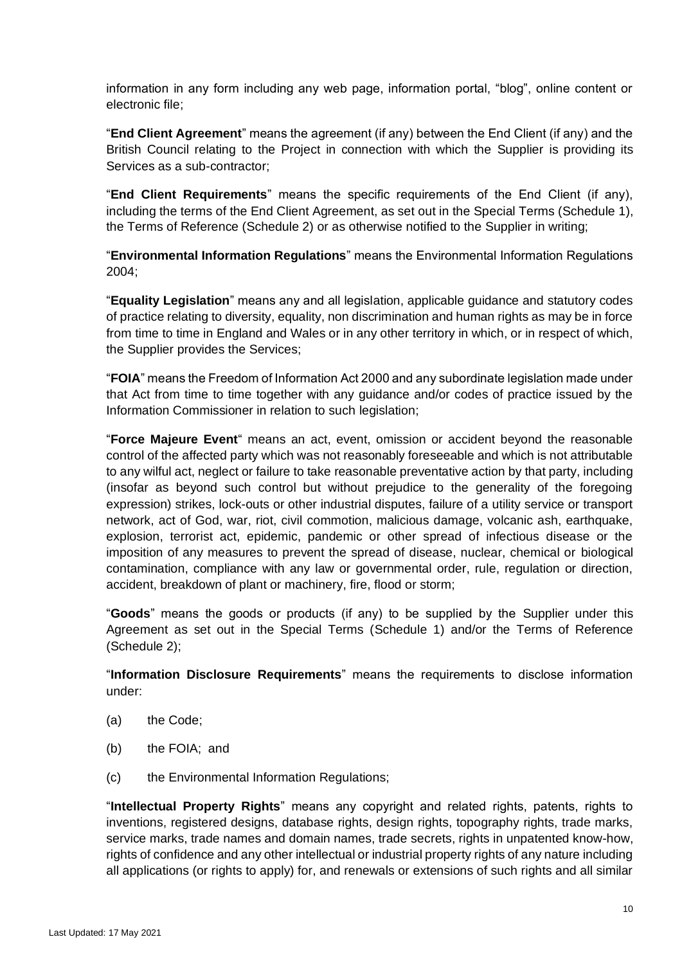information in any form including any web page, information portal, "blog", online content or electronic file;

"**End Client Agreement**" means the agreement (if any) between the End Client (if any) and the British Council relating to the Project in connection with which the Supplier is providing its Services as a sub-contractor;

"**End Client Requirements**" means the specific requirements of the End Client (if any), including the terms of the End Client Agreement, as set out in the Special Terms (Schedule 1), the Terms of Reference (Schedule 2) or as otherwise notified to the Supplier in writing;

"**Environmental Information Regulations**" means the Environmental Information Regulations 2004;

"**Equality Legislation**" means any and all legislation, applicable guidance and statutory codes of practice relating to diversity, equality, non discrimination and human rights as may be in force from time to time in England and Wales or in any other territory in which, or in respect of which, the Supplier provides the Services;

"**FOIA**" means the Freedom of Information Act 2000 and any subordinate legislation made under that Act from time to time together with any guidance and/or codes of practice issued by the Information Commissioner in relation to such legislation;

"**Force Majeure Event**" means an act, event, omission or accident beyond the reasonable control of the affected party which was not reasonably foreseeable and which is not attributable to any wilful act, neglect or failure to take reasonable preventative action by that party, including (insofar as beyond such control but without prejudice to the generality of the foregoing expression) strikes, lock-outs or other industrial disputes, failure of a utility service or transport network, act of God, war, riot, civil commotion, malicious damage, volcanic ash, earthquake, explosion, terrorist act, epidemic, pandemic or other spread of infectious disease or the imposition of any measures to prevent the spread of disease, nuclear, chemical or biological contamination, compliance with any law or governmental order, rule, regulation or direction, accident, breakdown of plant or machinery, fire, flood or storm;

"**Goods**" means the goods or products (if any) to be supplied by the Supplier under this Agreement as set out in the Special Terms (Schedule 1) and/or the Terms of Reference (Schedule 2);

"**Information Disclosure Requirements**" means the requirements to disclose information under:

- (a) the Code;
- (b) the FOIA; and
- (c) the Environmental Information Regulations;

"**Intellectual Property Rights**" means any copyright and related rights, patents, rights to inventions, registered designs, database rights, design rights, topography rights, trade marks, service marks, trade names and domain names, trade secrets, rights in unpatented know-how, rights of confidence and any other intellectual or industrial property rights of any nature including all applications (or rights to apply) for, and renewals or extensions of such rights and all similar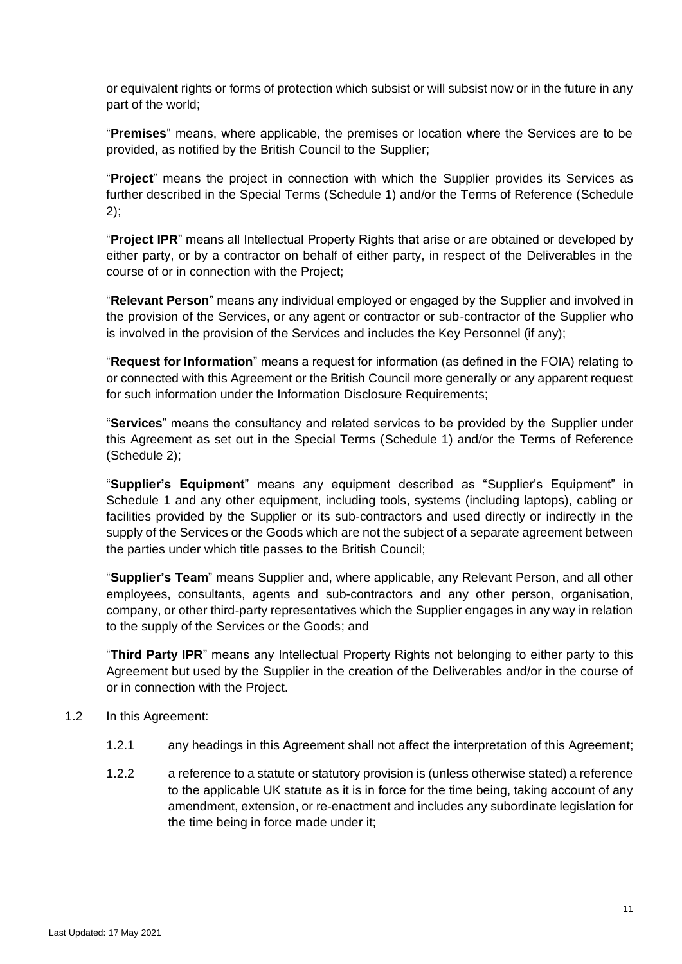or equivalent rights or forms of protection which subsist or will subsist now or in the future in any part of the world;

"**Premises**" means, where applicable, the premises or location where the Services are to be provided, as notified by the British Council to the Supplier;

"**Project**" means the project in connection with which the Supplier provides its Services as further described in the Special Terms (Schedule 1) and/or the Terms of Reference (Schedule  $2$ :

"**Project IPR**" means all Intellectual Property Rights that arise or are obtained or developed by either party, or by a contractor on behalf of either party, in respect of the Deliverables in the course of or in connection with the Project;

"**Relevant Person**" means any individual employed or engaged by the Supplier and involved in the provision of the Services, or any agent or contractor or sub-contractor of the Supplier who is involved in the provision of the Services and includes the Key Personnel (if any);

"**Request for Information**" means a request for information (as defined in the FOIA) relating to or connected with this Agreement or the British Council more generally or any apparent request for such information under the Information Disclosure Requirements;

"**Services**" means the consultancy and related services to be provided by the Supplier under this Agreement as set out in the Special Terms (Schedule 1) and/or the Terms of Reference (Schedule 2);

"**Supplier's Equipment**" means any equipment described as "Supplier's Equipment" in Schedule 1 and any other equipment, including tools, systems (including laptops), cabling or facilities provided by the Supplier or its sub-contractors and used directly or indirectly in the supply of the Services or the Goods which are not the subject of a separate agreement between the parties under which title passes to the British Council;

"**Supplier's Team**" means Supplier and, where applicable, any Relevant Person, and all other employees, consultants, agents and sub-contractors and any other person, organisation, company, or other third-party representatives which the Supplier engages in any way in relation to the supply of the Services or the Goods; and

"**Third Party IPR**" means any Intellectual Property Rights not belonging to either party to this Agreement but used by the Supplier in the creation of the Deliverables and/or in the course of or in connection with the Project.

- 1.2 In this Agreement:
	- 1.2.1 any headings in this Agreement shall not affect the interpretation of this Agreement;
	- 1.2.2 a reference to a statute or statutory provision is (unless otherwise stated) a reference to the applicable UK statute as it is in force for the time being, taking account of any amendment, extension, or re-enactment and includes any subordinate legislation for the time being in force made under it;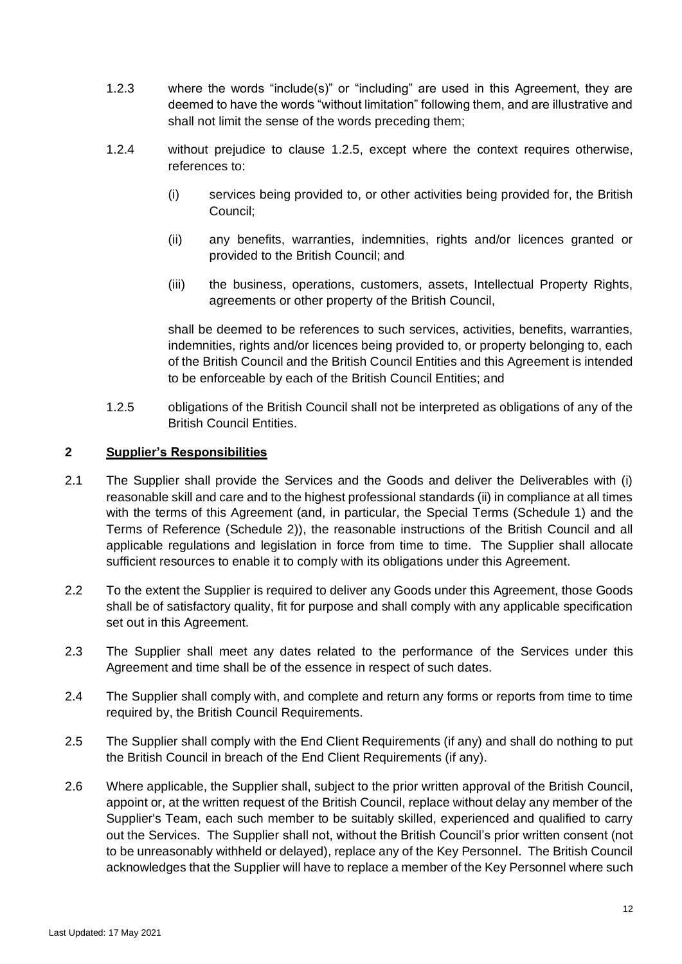- 1.2.3 where the words "include(s)" or "including" are used in this Agreement, they are deemed to have the words "without limitation" following them, and are illustrative and shall not limit the sense of the words preceding them;
- <span id="page-11-1"></span>1.2.4 without prejudice to clause [1.2.5,](#page-11-0) except where the context requires otherwise, references to:
	- (i) services being provided to, or other activities being provided for, the British Council;
	- (ii) any benefits, warranties, indemnities, rights and/or licences granted or provided to the British Council; and
	- (iii) the business, operations, customers, assets, Intellectual Property Rights, agreements or other property of the British Council,

shall be deemed to be references to such services, activities, benefits, warranties, indemnities, rights and/or licences being provided to, or property belonging to, each of the British Council and the British Council Entities and this Agreement is intended to be enforceable by each of the British Council Entities; and

<span id="page-11-0"></span>1.2.5 obligations of the British Council shall not be interpreted as obligations of any of the British Council Entities.

### **2 Supplier's Responsibilities**

- 2.1 The Supplier shall provide the Services and the Goods and deliver the Deliverables with (i) reasonable skill and care and to the highest professional standards (ii) in compliance at all times with the terms of this Agreement (and, in particular, the Special Terms (Schedule 1) and the Terms of Reference (Schedule 2)), the reasonable instructions of the British Council and all applicable regulations and legislation in force from time to time. The Supplier shall allocate sufficient resources to enable it to comply with its obligations under this Agreement.
- 2.2 To the extent the Supplier is required to deliver any Goods under this Agreement, those Goods shall be of satisfactory quality, fit for purpose and shall comply with any applicable specification set out in this Agreement.
- 2.3 The Supplier shall meet any dates related to the performance of the Services under this Agreement and time shall be of the essence in respect of such dates.
- 2.4 The Supplier shall comply with, and complete and return any forms or reports from time to time required by, the British Council Requirements.
- 2.5 The Supplier shall comply with the End Client Requirements (if any) and shall do nothing to put the British Council in breach of the End Client Requirements (if any).
- 2.6 Where applicable, the Supplier shall, subject to the prior written approval of the British Council, appoint or, at the written request of the British Council, replace without delay any member of the Supplier's Team, each such member to be suitably skilled, experienced and qualified to carry out the Services. The Supplier shall not, without the British Council's prior written consent (not to be unreasonably withheld or delayed), replace any of the Key Personnel. The British Council acknowledges that the Supplier will have to replace a member of the Key Personnel where such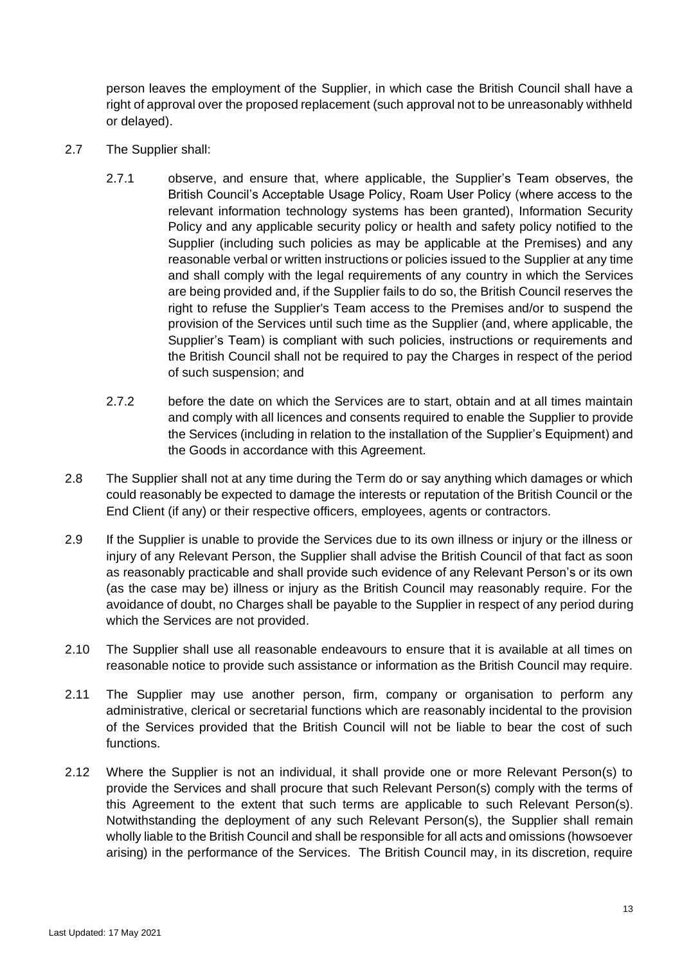person leaves the employment of the Supplier, in which case the British Council shall have a right of approval over the proposed replacement (such approval not to be unreasonably withheld or delayed).

- <span id="page-12-0"></span>2.7 The Supplier shall:
	- 2.7.1 observe, and ensure that, where applicable, the Supplier's Team observes, the British Council's Acceptable Usage Policy, Roam User Policy (where access to the relevant information technology systems has been granted), Information Security Policy and any applicable security policy or health and safety policy notified to the Supplier (including such policies as may be applicable at the Premises) and any reasonable verbal or written instructions or policies issued to the Supplier at any time and shall comply with the legal requirements of any country in which the Services are being provided and, if the Supplier fails to do so, the British Council reserves the right to refuse the Supplier's Team access to the Premises and/or to suspend the provision of the Services until such time as the Supplier (and, where applicable, the Supplier's Team) is compliant with such policies, instructions or requirements and the British Council shall not be required to pay the Charges in respect of the period of such suspension; and
	- 2.7.2 before the date on which the Services are to start, obtain and at all times maintain and comply with all licences and consents required to enable the Supplier to provide the Services (including in relation to the installation of the Supplier's Equipment) and the Goods in accordance with this Agreement.
- 2.8 The Supplier shall not at any time during the Term do or say anything which damages or which could reasonably be expected to damage the interests or reputation of the British Council or the End Client (if any) or their respective officers, employees, agents or contractors.
- 2.9 If the Supplier is unable to provide the Services due to its own illness or injury or the illness or injury of any Relevant Person, the Supplier shall advise the British Council of that fact as soon as reasonably practicable and shall provide such evidence of any Relevant Person's or its own (as the case may be) illness or injury as the British Council may reasonably require. For the avoidance of doubt, no Charges shall be payable to the Supplier in respect of any period during which the Services are not provided.
- 2.10 The Supplier shall use all reasonable endeavours to ensure that it is available at all times on reasonable notice to provide such assistance or information as the British Council may require.
- 2.11 The Supplier may use another person, firm, company or organisation to perform any administrative, clerical or secretarial functions which are reasonably incidental to the provision of the Services provided that the British Council will not be liable to bear the cost of such functions.
- 2.12 Where the Supplier is not an individual, it shall provide one or more Relevant Person(s) to provide the Services and shall procure that such Relevant Person(s) comply with the terms of this Agreement to the extent that such terms are applicable to such Relevant Person(s). Notwithstanding the deployment of any such Relevant Person(s), the Supplier shall remain wholly liable to the British Council and shall be responsible for all acts and omissions (howsoever arising) in the performance of the Services. The British Council may, in its discretion, require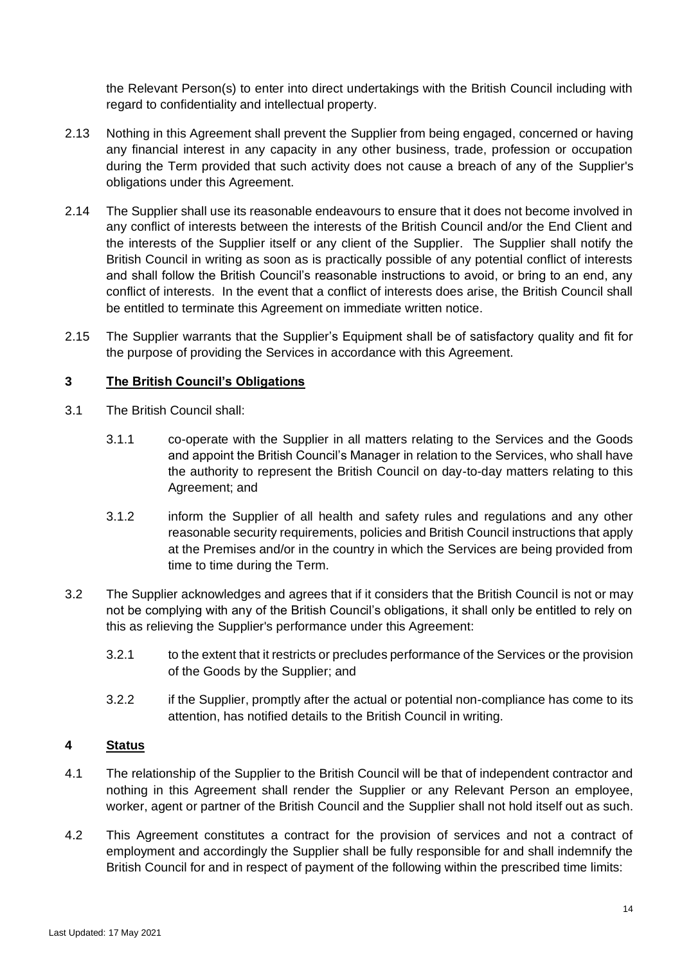the Relevant Person(s) to enter into direct undertakings with the British Council including with regard to confidentiality and intellectual property.

- 2.13 Nothing in this Agreement shall prevent the Supplier from being engaged, concerned or having any financial interest in any capacity in any other business, trade, profession or occupation during the Term provided that such activity does not cause a breach of any of the Supplier's obligations under this Agreement.
- 2.14 The Supplier shall use its reasonable endeavours to ensure that it does not become involved in any conflict of interests between the interests of the British Council and/or the End Client and the interests of the Supplier itself or any client of the Supplier. The Supplier shall notify the British Council in writing as soon as is practically possible of any potential conflict of interests and shall follow the British Council's reasonable instructions to avoid, or bring to an end, any conflict of interests. In the event that a conflict of interests does arise, the British Council shall be entitled to terminate this Agreement on immediate written notice.
- 2.15 The Supplier warrants that the Supplier's Equipment shall be of satisfactory quality and fit for the purpose of providing the Services in accordance with this Agreement.

#### **3 The British Council's Obligations**

- <span id="page-13-0"></span>3.1 The British Council shall:
	- 3.1.1 co-operate with the Supplier in all matters relating to the Services and the Goods and appoint the British Council's Manager in relation to the Services, who shall have the authority to represent the British Council on day-to-day matters relating to this Agreement; and
	- 3.1.2 inform the Supplier of all health and safety rules and regulations and any other reasonable security requirements, policies and British Council instructions that apply at the Premises and/or in the country in which the Services are being provided from time to time during the Term.
- 3.2 The Supplier acknowledges and agrees that if it considers that the British Council is not or may not be complying with any of the British Council's obligations, it shall only be entitled to rely on this as relieving the Supplier's performance under this Agreement:
	- 3.2.1 to the extent that it restricts or precludes performance of the Services or the provision of the Goods by the Supplier; and
	- 3.2.2 if the Supplier, promptly after the actual or potential non-compliance has come to its attention, has notified details to the British Council in writing.

### **4 Status**

- 4.1 The relationship of the Supplier to the British Council will be that of independent contractor and nothing in this Agreement shall render the Supplier or any Relevant Person an employee, worker, agent or partner of the British Council and the Supplier shall not hold itself out as such.
- <span id="page-13-1"></span>4.2 This Agreement constitutes a contract for the provision of services and not a contract of employment and accordingly the Supplier shall be fully responsible for and shall indemnify the British Council for and in respect of payment of the following within the prescribed time limits: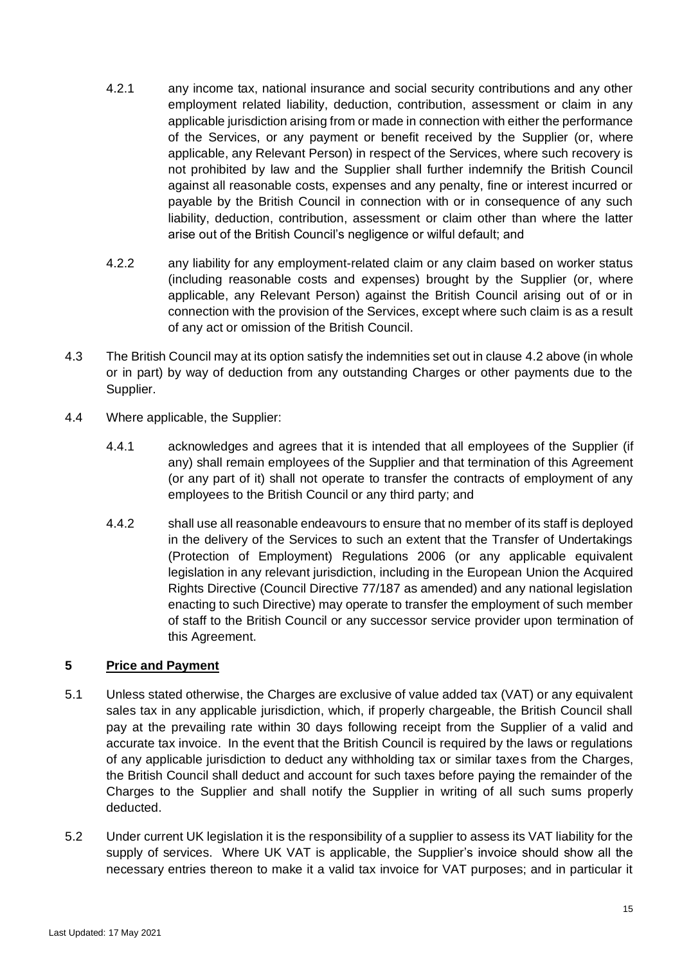- 4.2.1 any income tax, national insurance and social security contributions and any other employment related liability, deduction, contribution, assessment or claim in any applicable jurisdiction arising from or made in connection with either the performance of the Services, or any payment or benefit received by the Supplier (or, where applicable, any Relevant Person) in respect of the Services, where such recovery is not prohibited by law and the Supplier shall further indemnify the British Council against all reasonable costs, expenses and any penalty, fine or interest incurred or payable by the British Council in connection with or in consequence of any such liability, deduction, contribution, assessment or claim other than where the latter arise out of the British Council's negligence or wilful default; and
- 4.2.2 any liability for any employment-related claim or any claim based on worker status (including reasonable costs and expenses) brought by the Supplier (or, where applicable, any Relevant Person) against the British Council arising out of or in connection with the provision of the Services, except where such claim is as a result of any act or omission of the British Council.
- 4.3 The British Council may at its option satisfy the indemnities set out in clause [4.2](#page-13-1) above (in whole or in part) by way of deduction from any outstanding Charges or other payments due to the Supplier.
- 4.4 Where applicable, the Supplier:
	- 4.4.1 acknowledges and agrees that it is intended that all employees of the Supplier (if any) shall remain employees of the Supplier and that termination of this Agreement (or any part of it) shall not operate to transfer the contracts of employment of any employees to the British Council or any third party; and
	- 4.4.2 shall use all reasonable endeavours to ensure that no member of its staff is deployed in the delivery of the Services to such an extent that the Transfer of Undertakings (Protection of Employment) Regulations 2006 (or any applicable equivalent legislation in any relevant jurisdiction, including in the European Union the Acquired Rights Directive (Council Directive 77/187 as amended) and any national legislation enacting to such Directive) may operate to transfer the employment of such member of staff to the British Council or any successor service provider upon termination of this Agreement.

#### **5 Price and Payment**

- 5.1 Unless stated otherwise, the Charges are exclusive of value added tax (VAT) or any equivalent sales tax in any applicable jurisdiction, which, if properly chargeable, the British Council shall pay at the prevailing rate within 30 days following receipt from the Supplier of a valid and accurate tax invoice. In the event that the British Council is required by the laws or regulations of any applicable jurisdiction to deduct any withholding tax or similar taxes from the Charges, the British Council shall deduct and account for such taxes before paying the remainder of the Charges to the Supplier and shall notify the Supplier in writing of all such sums properly deducted.
- 5.2 Under current UK legislation it is the responsibility of a supplier to assess its VAT liability for the supply of services. Where UK VAT is applicable, the Supplier's invoice should show all the necessary entries thereon to make it a valid tax invoice for VAT purposes; and in particular it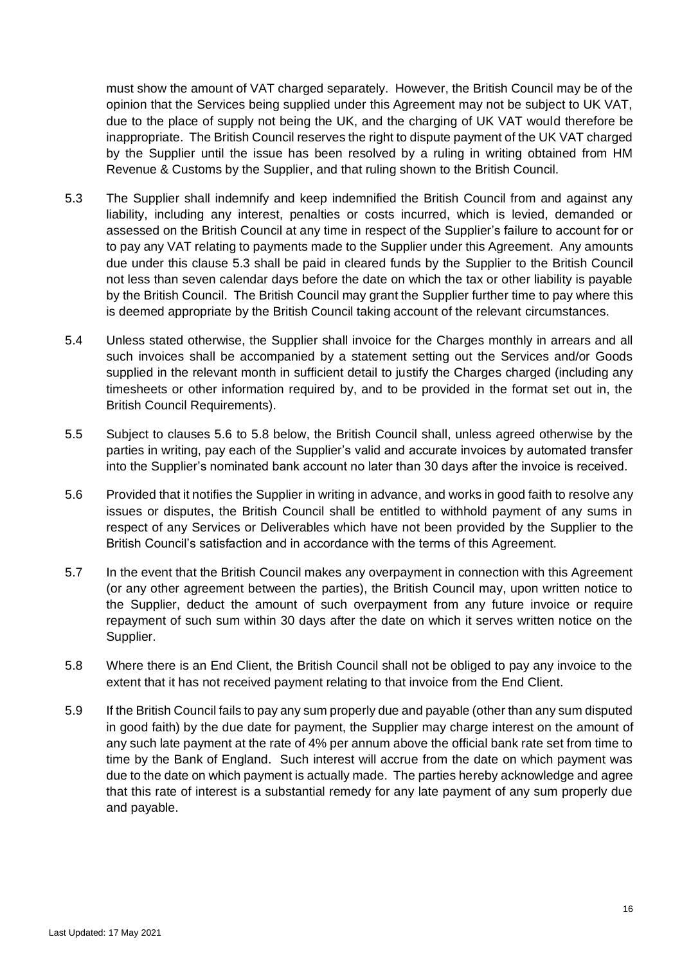must show the amount of VAT charged separately. However, the British Council may be of the opinion that the Services being supplied under this Agreement may not be subject to UK VAT, due to the place of supply not being the UK, and the charging of UK VAT would therefore be inappropriate. The British Council reserves the right to dispute payment of the UK VAT charged by the Supplier until the issue has been resolved by a ruling in writing obtained from HM Revenue & Customs by the Supplier, and that ruling shown to the British Council.

- 5.3 The Supplier shall indemnify and keep indemnified the British Council from and against any liability, including any interest, penalties or costs incurred, which is levied, demanded or assessed on the British Council at any time in respect of the Supplier's failure to account for or to pay any VAT relating to payments made to the Supplier under this Agreement. Any amounts due under this clause 5.3 shall be paid in cleared funds by the Supplier to the British Council not less than seven calendar days before the date on which the tax or other liability is payable by the British Council. The British Council may grant the Supplier further time to pay where this is deemed appropriate by the British Council taking account of the relevant circumstances.
- 5.4 Unless stated otherwise, the Supplier shall invoice for the Charges monthly in arrears and all such invoices shall be accompanied by a statement setting out the Services and/or Goods supplied in the relevant month in sufficient detail to justify the Charges charged (including any timesheets or other information required by, and to be provided in the format set out in, the British Council Requirements).
- 5.5 Subject to clauses [5.6](#page-15-0) to [5.8](#page-15-1) below, the British Council shall, unless agreed otherwise by the parties in writing, pay each of the Supplier's valid and accurate invoices by automated transfer into the Supplier's nominated bank account no later than 30 days after the invoice is received.
- <span id="page-15-0"></span>5.6 Provided that it notifies the Supplier in writing in advance, and works in good faith to resolve any issues or disputes, the British Council shall be entitled to withhold payment of any sums in respect of any Services or Deliverables which have not been provided by the Supplier to the British Council's satisfaction and in accordance with the terms of this Agreement.
- 5.7 In the event that the British Council makes any overpayment in connection with this Agreement (or any other agreement between the parties), the British Council may, upon written notice to the Supplier, deduct the amount of such overpayment from any future invoice or require repayment of such sum within 30 days after the date on which it serves written notice on the Supplier.
- <span id="page-15-1"></span>5.8 Where there is an End Client, the British Council shall not be obliged to pay any invoice to the extent that it has not received payment relating to that invoice from the End Client.
- 5.9 If the British Council fails to pay any sum properly due and payable (other than any sum disputed in good faith) by the due date for payment, the Supplier may charge interest on the amount of any such late payment at the rate of 4% per annum above the official bank rate set from time to time by the Bank of England. Such interest will accrue from the date on which payment was due to the date on which payment is actually made. The parties hereby acknowledge and agree that this rate of interest is a substantial remedy for any late payment of any sum properly due and payable.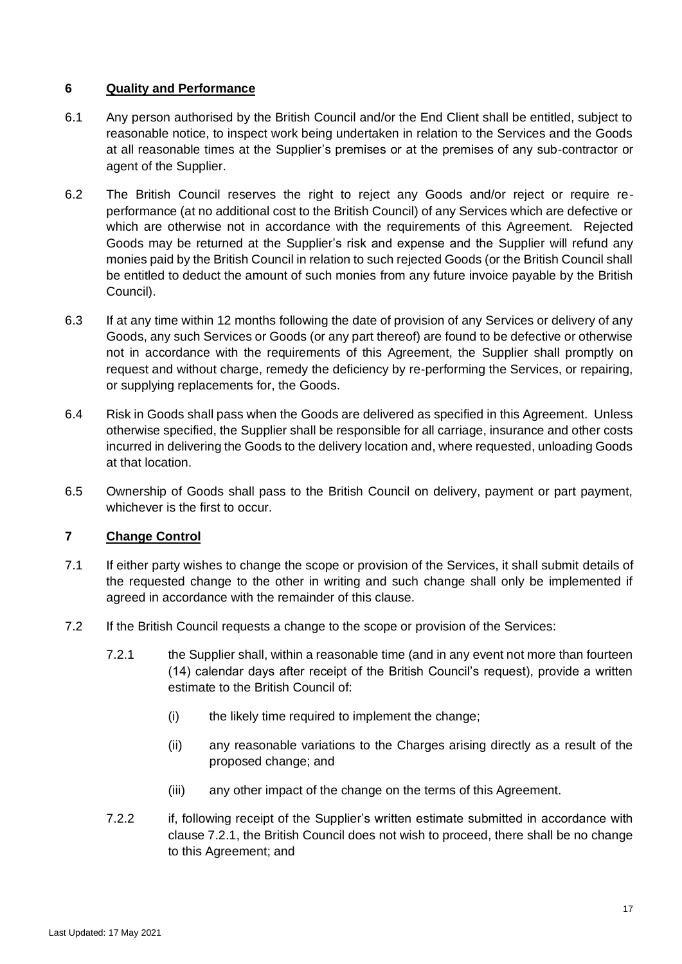### **6 Quality and Performance**

- 6.1 Any person authorised by the British Council and/or the End Client shall be entitled, subject to reasonable notice, to inspect work being undertaken in relation to the Services and the Goods at all reasonable times at the Supplier's premises or at the premises of any sub-contractor or agent of the Supplier.
- 6.2 The British Council reserves the right to reject any Goods and/or reject or require reperformance (at no additional cost to the British Council) of any Services which are defective or which are otherwise not in accordance with the requirements of this Agreement. Rejected Goods may be returned at the Supplier's risk and expense and the Supplier will refund any monies paid by the British Council in relation to such rejected Goods (or the British Council shall be entitled to deduct the amount of such monies from any future invoice payable by the British Council).
- 6.3 If at any time within 12 months following the date of provision of any Services or delivery of any Goods, any such Services or Goods (or any part thereof) are found to be defective or otherwise not in accordance with the requirements of this Agreement, the Supplier shall promptly on request and without charge, remedy the deficiency by re-performing the Services, or repairing, or supplying replacements for, the Goods.
- 6.4 Risk in Goods shall pass when the Goods are delivered as specified in this Agreement. Unless otherwise specified, the Supplier shall be responsible for all carriage, insurance and other costs incurred in delivering the Goods to the delivery location and, where requested, unloading Goods at that location.
- 6.5 Ownership of Goods shall pass to the British Council on delivery, payment or part payment, whichever is the first to occur.

# **7 Change Control**

- 7.1 If either party wishes to change the scope or provision of the Services, it shall submit details of the requested change to the other in writing and such change shall only be implemented if agreed in accordance with the remainder of this clause.
- <span id="page-16-0"></span>7.2 If the British Council requests a change to the scope or provision of the Services:
	- 7.2.1 the Supplier shall, within a reasonable time (and in any event not more than fourteen (14) calendar days after receipt of the British Council's request), provide a written estimate to the British Council of:
		- (i) the likely time required to implement the change;
		- (ii) any reasonable variations to the Charges arising directly as a result of the proposed change; and
		- (iii) any other impact of the change on the terms of this Agreement.
	- 7.2.2 if, following receipt of the Supplier's written estimate submitted in accordance with clause [7.2.1,](#page-16-0) the British Council does not wish to proceed, there shall be no change to this Agreement; and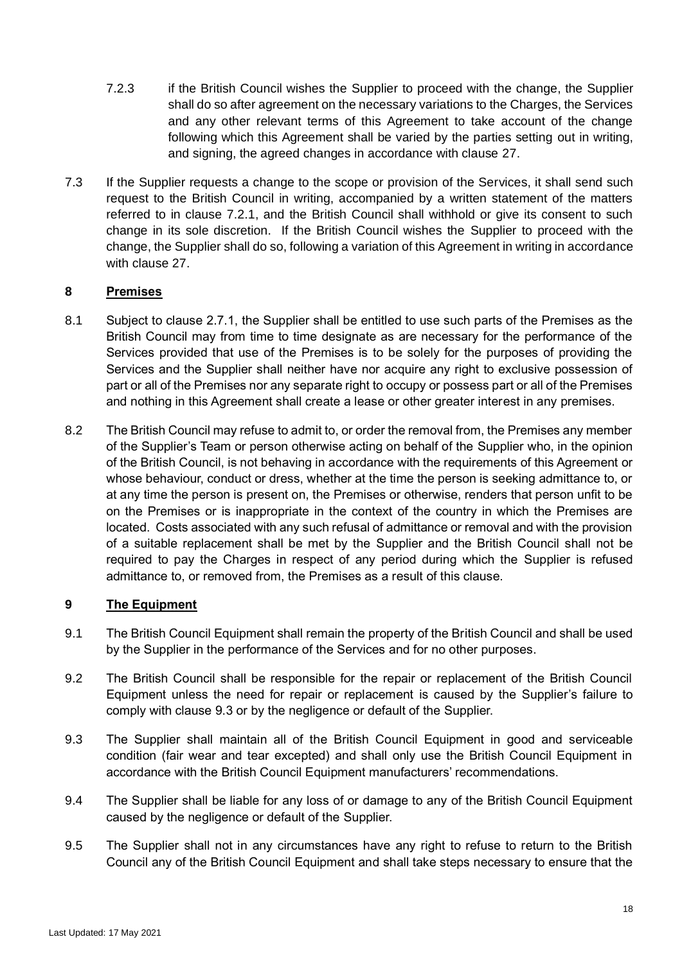- 7.2.3 if the British Council wishes the Supplier to proceed with the change, the Supplier shall do so after agreement on the necessary variations to the Charges, the Services and any other relevant terms of this Agreement to take account of the change following which this Agreement shall be varied by the parties setting out in writing, and signing, the agreed changes in accordance with clause [27.](#page-33-0)
- 7.3 If the Supplier requests a change to the scope or provision of the Services, it shall send such request to the British Council in writing, accompanied by a written statement of the matters referred to in clause [7.2.1,](#page-16-0) and the British Council shall withhold or give its consent to such change in its sole discretion. If the British Council wishes the Supplier to proceed with the change, the Supplier shall do so, following a variation of this Agreement in writing in accordance with clause [27.](#page-33-0)

# **8 Premises**

- 8.1 Subject to clause [2.7.1,](#page-12-0) the Supplier shall be entitled to use such parts of the Premises as the British Council may from time to time designate as are necessary for the performance of the Services provided that use of the Premises is to be solely for the purposes of providing the Services and the Supplier shall neither have nor acquire any right to exclusive possession of part or all of the Premises nor any separate right to occupy or possess part or all of the Premises and nothing in this Agreement shall create a lease or other greater interest in any premises.
- 8.2 The British Council may refuse to admit to, or order the removal from, the Premises any member of the Supplier's Team or person otherwise acting on behalf of the Supplier who, in the opinion of the British Council, is not behaving in accordance with the requirements of this Agreement or whose behaviour, conduct or dress, whether at the time the person is seeking admittance to, or at any time the person is present on, the Premises or otherwise, renders that person unfit to be on the Premises or is inappropriate in the context of the country in which the Premises are located. Costs associated with any such refusal of admittance or removal and with the provision of a suitable replacement shall be met by the Supplier and the British Council shall not be required to pay the Charges in respect of any period during which the Supplier is refused admittance to, or removed from, the Premises as a result of this clause.

#### **9 The Equipment**

- 9.1 The British Council Equipment shall remain the property of the British Council and shall be used by the Supplier in the performance of the Services and for no other purposes.
- 9.2 The British Council shall be responsible for the repair or replacement of the British Council Equipment unless the need for repair or replacement is caused by the Supplier's failure to comply with clause [9.3](#page-17-0) or by the negligence or default of the Supplier.
- <span id="page-17-0"></span>9.3 The Supplier shall maintain all of the British Council Equipment in good and serviceable condition (fair wear and tear excepted) and shall only use the British Council Equipment in accordance with the British Council Equipment manufacturers' recommendations.
- 9.4 The Supplier shall be liable for any loss of or damage to any of the British Council Equipment caused by the negligence or default of the Supplier.
- 9.5 The Supplier shall not in any circumstances have any right to refuse to return to the British Council any of the British Council Equipment and shall take steps necessary to ensure that the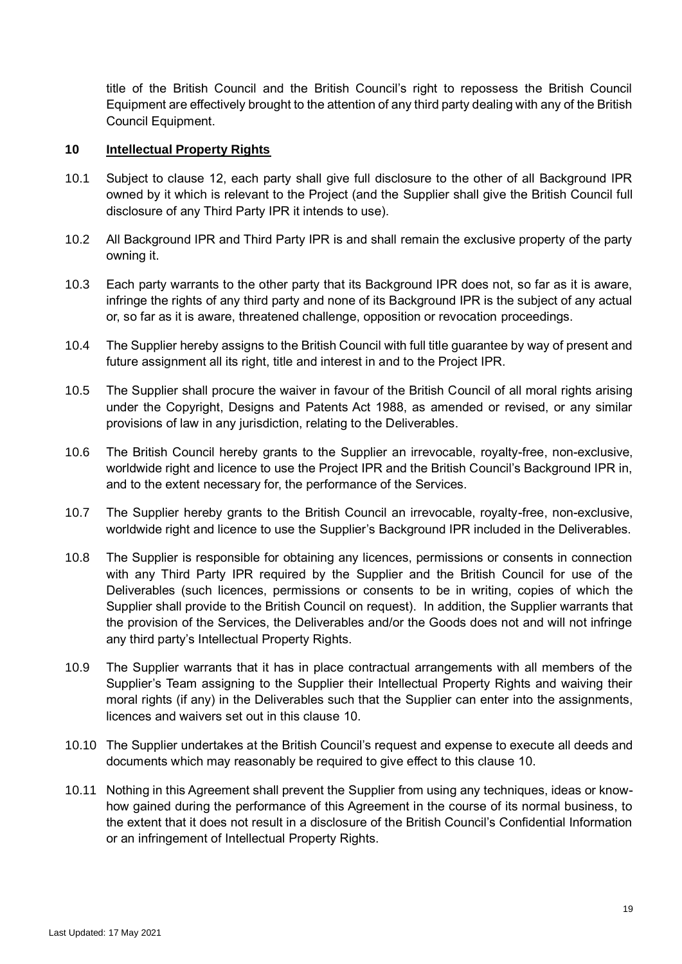title of the British Council and the British Council's right to repossess the British Council Equipment are effectively brought to the attention of any third party dealing with any of the British Council Equipment.

### <span id="page-18-0"></span>**10 Intellectual Property Rights**

- 10.1 Subject to clause [12,](#page-19-0) each party shall give full disclosure to the other of all Background IPR owned by it which is relevant to the Project (and the Supplier shall give the British Council full disclosure of any Third Party IPR it intends to use).
- 10.2 All Background IPR and Third Party IPR is and shall remain the exclusive property of the party owning it.
- 10.3 Each party warrants to the other party that its Background IPR does not, so far as it is aware, infringe the rights of any third party and none of its Background IPR is the subject of any actual or, so far as it is aware, threatened challenge, opposition or revocation proceedings.
- <span id="page-18-1"></span>10.4 The Supplier hereby assigns to the British Council with full title guarantee by way of present and future assignment all its right, title and interest in and to the Project IPR.
- 10.5 The Supplier shall procure the waiver in favour of the British Council of all moral rights arising under the Copyright, Designs and Patents Act 1988, as amended or revised, or any similar provisions of law in any jurisdiction, relating to the Deliverables.
- 10.6 The British Council hereby grants to the Supplier an irrevocable, royalty-free, non-exclusive, worldwide right and licence to use the Project IPR and the British Council's Background IPR in, and to the extent necessary for, the performance of the Services.
- 10.7 The Supplier hereby grants to the British Council an irrevocable, royalty-free, non-exclusive, worldwide right and licence to use the Supplier's Background IPR included in the Deliverables.
- 10.8 The Supplier is responsible for obtaining any licences, permissions or consents in connection with any Third Party IPR required by the Supplier and the British Council for use of the Deliverables (such licences, permissions or consents to be in writing, copies of which the Supplier shall provide to the British Council on request). In addition, the Supplier warrants that the provision of the Services, the Deliverables and/or the Goods does not and will not infringe any third party's Intellectual Property Rights.
- 10.9 The Supplier warrants that it has in place contractual arrangements with all members of the Supplier's Team assigning to the Supplier their Intellectual Property Rights and waiving their moral rights (if any) in the Deliverables such that the Supplier can enter into the assignments, licences and waivers set out in this clause [10.](#page-18-0)
- 10.10 The Supplier undertakes at the British Council's request and expense to execute all deeds and documents which may reasonably be required to give effect to this clause [10.](#page-18-0)
- 10.11 Nothing in this Agreement shall prevent the Supplier from using any techniques, ideas or knowhow gained during the performance of this Agreement in the course of its normal business, to the extent that it does not result in a disclosure of the British Council's Confidential Information or an infringement of Intellectual Property Rights.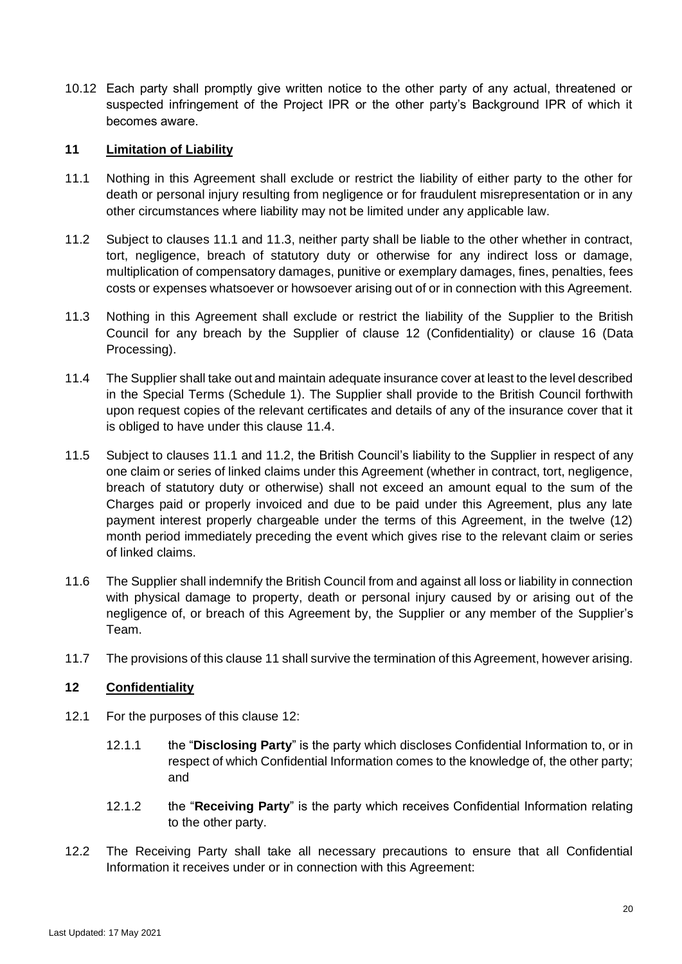10.12 Each party shall promptly give written notice to the other party of any actual, threatened or suspected infringement of the Project IPR or the other party's Background IPR of which it becomes aware.

### <span id="page-19-5"></span>**11 Limitation of Liability**

- <span id="page-19-1"></span>11.1 Nothing in this Agreement shall exclude or restrict the liability of either party to the other for death or personal injury resulting from negligence or for fraudulent misrepresentation or in any other circumstances where liability may not be limited under any applicable law.
- <span id="page-19-4"></span>11.2 Subject to clauses [11.1](#page-19-1) and [11.3,](#page-19-2) neither party shall be liable to the other whether in contract, tort, negligence, breach of statutory duty or otherwise for any indirect loss or damage, multiplication of compensatory damages, punitive or exemplary damages, fines, penalties, fees costs or expenses whatsoever or howsoever arising out of or in connection with this Agreement.
- <span id="page-19-2"></span>11.3 Nothing in this Agreement shall exclude or restrict the liability of the Supplier to the British Council for any breach by the Supplier of clause [12](#page-19-0) (Confidentiality) or clause [16](#page-26-0) (Data Processing).
- <span id="page-19-3"></span>11.4 The Supplier shall take out and maintain adequate insurance cover at least to the level described in the Special Terms (Schedule 1). The Supplier shall provide to the British Council forthwith upon request copies of the relevant certificates and details of any of the insurance cover that it is obliged to have under this clause [11.4.](#page-19-3)
- 11.5 Subject to clauses [11.1](#page-19-1) and [11.2,](#page-19-4) the British Council's liability to the Supplier in respect of any one claim or series of linked claims under this Agreement (whether in contract, tort, negligence, breach of statutory duty or otherwise) shall not exceed an amount equal to the sum of the Charges paid or properly invoiced and due to be paid under this Agreement, plus any late payment interest properly chargeable under the terms of this Agreement, in the twelve (12) month period immediately preceding the event which gives rise to the relevant claim or series of linked claims.
- 11.6 The Supplier shall indemnify the British Council from and against all loss or liability in connection with physical damage to property, death or personal injury caused by or arising out of the negligence of, or breach of this Agreement by, the Supplier or any member of the Supplier's Team.
- 11.7 The provisions of this claus[e 11](#page-19-5) shall survive the termination of this Agreement, however arising.

#### <span id="page-19-0"></span>**12 Confidentiality**

- 12.1 For the purposes of this clause [12:](#page-19-0)
	- 12.1.1 the "**Disclosing Party**" is the party which discloses Confidential Information to, or in respect of which Confidential Information comes to the knowledge of, the other party; and
	- 12.1.2 the "**Receiving Party**" is the party which receives Confidential Information relating to the other party.
- <span id="page-19-6"></span>12.2 The Receiving Party shall take all necessary precautions to ensure that all Confidential Information it receives under or in connection with this Agreement: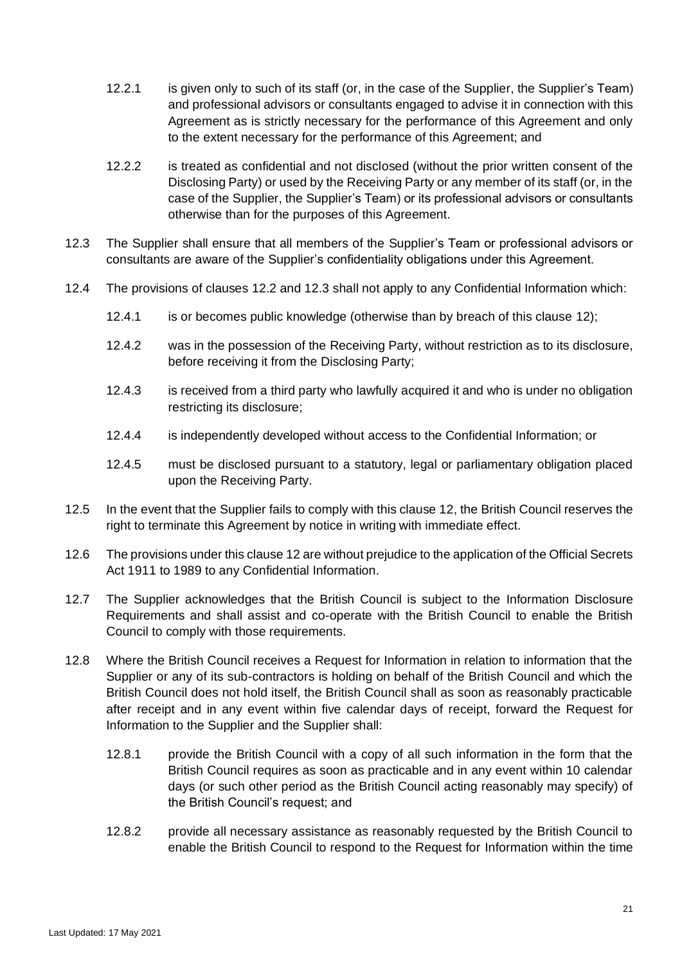- 12.2.1 is given only to such of its staff (or, in the case of the Supplier, the Supplier's Team) and professional advisors or consultants engaged to advise it in connection with this Agreement as is strictly necessary for the performance of this Agreement and only to the extent necessary for the performance of this Agreement; and
- 12.2.2 is treated as confidential and not disclosed (without the prior written consent of the Disclosing Party) or used by the Receiving Party or any member of its staff (or, in the case of the Supplier, the Supplier's Team) or its professional advisors or consultants otherwise than for the purposes of this Agreement.
- <span id="page-20-0"></span>12.3 The Supplier shall ensure that all members of the Supplier's Team or professional advisors or consultants are aware of the Supplier's confidentiality obligations under this Agreement.
- 12.4 The provisions of clauses [12.2](#page-19-6) and [12.3](#page-20-0) shall not apply to any Confidential Information which:
	- 12.4.1 is or becomes public knowledge (otherwise than by breach of this clause [12\)](#page-19-0);
	- 12.4.2 was in the possession of the Receiving Party, without restriction as to its disclosure, before receiving it from the Disclosing Party;
	- 12.4.3 is received from a third party who lawfully acquired it and who is under no obligation restricting its disclosure;
	- 12.4.4 is independently developed without access to the Confidential Information; or
	- 12.4.5 must be disclosed pursuant to a statutory, legal or parliamentary obligation placed upon the Receiving Party.
- 12.5 In the event that the Supplier fails to comply with this clause [12,](#page-19-0) the British Council reserves the right to terminate this Agreement by notice in writing with immediate effect.
- 12.6 The provisions under this claus[e 12](#page-19-0) are without prejudice to the application of the Official Secrets Act 1911 to 1989 to any Confidential Information.
- 12.7 The Supplier acknowledges that the British Council is subject to the Information Disclosure Requirements and shall assist and co-operate with the British Council to enable the British Council to comply with those requirements.
- 12.8 Where the British Council receives a Request for Information in relation to information that the Supplier or any of its sub-contractors is holding on behalf of the British Council and which the British Council does not hold itself, the British Council shall as soon as reasonably practicable after receipt and in any event within five calendar days of receipt, forward the Request for Information to the Supplier and the Supplier shall:
	- 12.8.1 provide the British Council with a copy of all such information in the form that the British Council requires as soon as practicable and in any event within 10 calendar days (or such other period as the British Council acting reasonably may specify) of the British Council's request; and
	- 12.8.2 provide all necessary assistance as reasonably requested by the British Council to enable the British Council to respond to the Request for Information within the time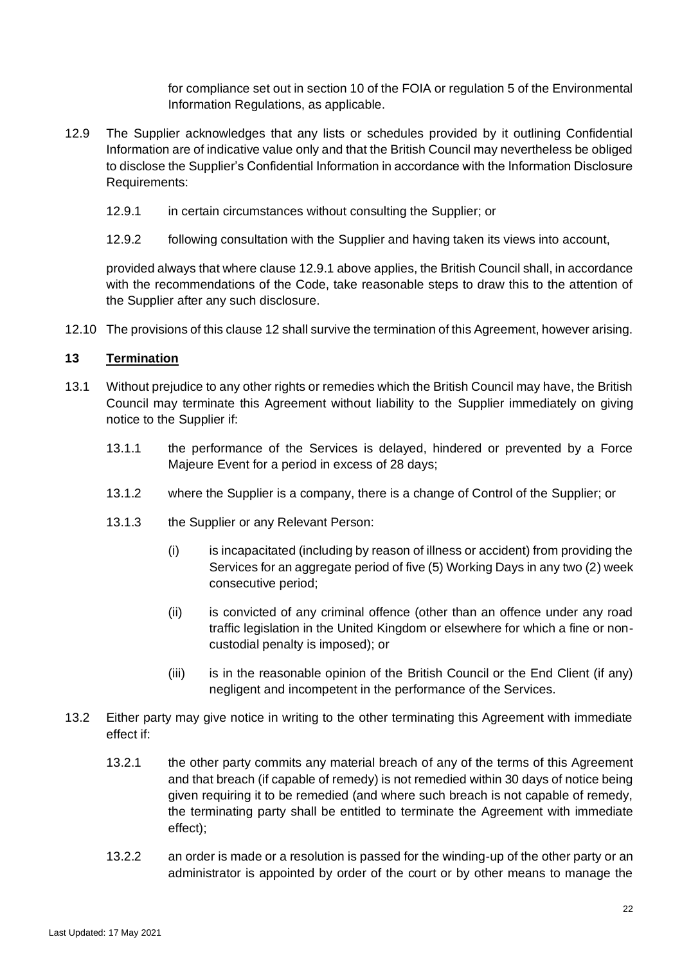for compliance set out in section 10 of the FOIA or regulation 5 of the Environmental Information Regulations, as applicable.

- <span id="page-21-0"></span>12.9 The Supplier acknowledges that any lists or schedules provided by it outlining Confidential Information are of indicative value only and that the British Council may nevertheless be obliged to disclose the Supplier's Confidential Information in accordance with the Information Disclosure Requirements:
	- 12.9.1 in certain circumstances without consulting the Supplier; or
	- 12.9.2 following consultation with the Supplier and having taken its views into account,

provided always that where clause [12.9.1](#page-21-0) above applies, the British Council shall, in accordance with the recommendations of the Code, take reasonable steps to draw this to the attention of the Supplier after any such disclosure.

12.10 The provisions of this claus[e 12](#page-19-0) shall survive the termination of this Agreement, however arising.

#### **13 Termination**

- 13.1 Without prejudice to any other rights or remedies which the British Council may have, the British Council may terminate this Agreement without liability to the Supplier immediately on giving notice to the Supplier if:
	- 13.1.1 the performance of the Services is delayed, hindered or prevented by a Force Majeure Event for a period in excess of 28 days;
	- 13.1.2 where the Supplier is a company, there is a change of Control of the Supplier; or
	- 13.1.3 the Supplier or any Relevant Person:
		- (i) is incapacitated (including by reason of illness or accident) from providing the Services for an aggregate period of five (5) Working Days in any two (2) week consecutive period;
		- (ii) is convicted of any criminal offence (other than an offence under any road traffic legislation in the United Kingdom or elsewhere for which a fine or noncustodial penalty is imposed); or
		- (iii) is in the reasonable opinion of the British Council or the End Client (if any) negligent and incompetent in the performance of the Services.
- <span id="page-21-1"></span>13.2 Either party may give notice in writing to the other terminating this Agreement with immediate effect if:
	- 13.2.1 the other party commits any material breach of any of the terms of this Agreement and that breach (if capable of remedy) is not remedied within 30 days of notice being given requiring it to be remedied (and where such breach is not capable of remedy, the terminating party shall be entitled to terminate the Agreement with immediate effect);
	- 13.2.2 an order is made or a resolution is passed for the winding-up of the other party or an administrator is appointed by order of the court or by other means to manage the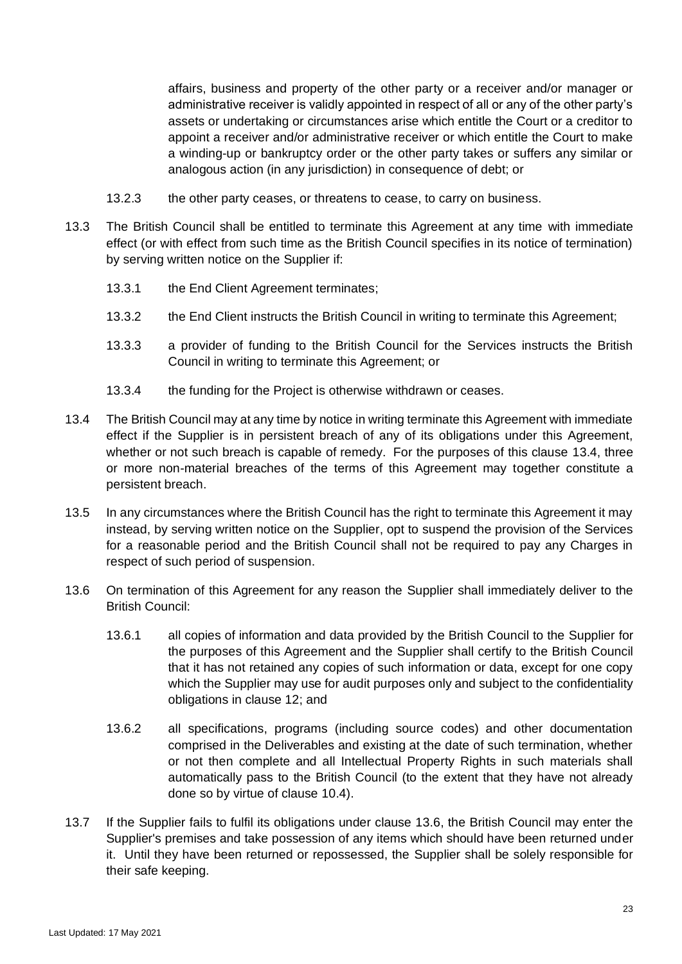affairs, business and property of the other party or a receiver and/or manager or administrative receiver is validly appointed in respect of all or any of the other party's assets or undertaking or circumstances arise which entitle the Court or a creditor to appoint a receiver and/or administrative receiver or which entitle the Court to make a winding-up or bankruptcy order or the other party takes or suffers any similar or analogous action (in any jurisdiction) in consequence of debt; or

- 13.2.3 the other party ceases, or threatens to cease, to carry on business.
- 13.3 The British Council shall be entitled to terminate this Agreement at any time with immediate effect (or with effect from such time as the British Council specifies in its notice of termination) by serving written notice on the Supplier if:
	- 13.3.1 the End Client Agreement terminates;
	- 13.3.2 the End Client instructs the British Council in writing to terminate this Agreement;
	- 13.3.3 a provider of funding to the British Council for the Services instructs the British Council in writing to terminate this Agreement; or
	- 13.3.4 the funding for the Project is otherwise withdrawn or ceases.
- <span id="page-22-0"></span>13.4 The British Council may at any time by notice in writing terminate this Agreement with immediate effect if the Supplier is in persistent breach of any of its obligations under this Agreement, whether or not such breach is capable of remedy. For the purposes of this clause [13.4,](#page-22-0) three or more non-material breaches of the terms of this Agreement may together constitute a persistent breach.
- 13.5 In any circumstances where the British Council has the right to terminate this Agreement it may instead, by serving written notice on the Supplier, opt to suspend the provision of the Services for a reasonable period and the British Council shall not be required to pay any Charges in respect of such period of suspension.
- <span id="page-22-1"></span>13.6 On termination of this Agreement for any reason the Supplier shall immediately deliver to the British Council:
	- 13.6.1 all copies of information and data provided by the British Council to the Supplier for the purposes of this Agreement and the Supplier shall certify to the British Council that it has not retained any copies of such information or data, except for one copy which the Supplier may use for audit purposes only and subject to the confidentiality obligations in clause [12;](#page-19-0) and
	- 13.6.2 all specifications, programs (including source codes) and other documentation comprised in the Deliverables and existing at the date of such termination, whether or not then complete and all Intellectual Property Rights in such materials shall automatically pass to the British Council (to the extent that they have not already done so by virtue of clause [10.4\)](#page-18-1).
- 13.7 If the Supplier fails to fulfil its obligations under clause [13.6,](#page-22-1) the British Council may enter the Supplier's premises and take possession of any items which should have been returned under it. Until they have been returned or repossessed, the Supplier shall be solely responsible for their safe keeping.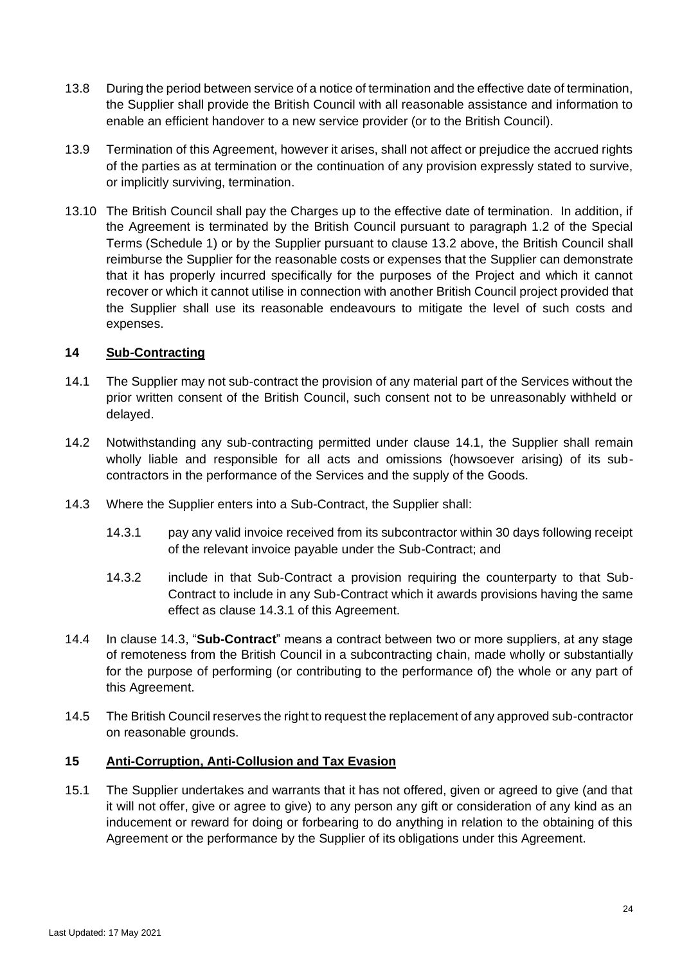- 13.8 During the period between service of a notice of termination and the effective date of termination, the Supplier shall provide the British Council with all reasonable assistance and information to enable an efficient handover to a new service provider (or to the British Council).
- 13.9 Termination of this Agreement, however it arises, shall not affect or prejudice the accrued rights of the parties as at termination or the continuation of any provision expressly stated to survive, or implicitly surviving, termination.
- 13.10 The British Council shall pay the Charges up to the effective date of termination. In addition, if the Agreement is terminated by the British Council pursuant to paragraph 1.2 of the Special Terms (Schedule 1) or by the Supplier pursuant to clause [13.2](#page-21-1) above, the British Council shall reimburse the Supplier for the reasonable costs or expenses that the Supplier can demonstrate that it has properly incurred specifically for the purposes of the Project and which it cannot recover or which it cannot utilise in connection with another British Council project provided that the Supplier shall use its reasonable endeavours to mitigate the level of such costs and expenses.

#### **14 Sub-Contracting**

- <span id="page-23-0"></span>14.1 The Supplier may not sub-contract the provision of any material part of the Services without the prior written consent of the British Council, such consent not to be unreasonably withheld or delayed.
- 14.2 Notwithstanding any sub-contracting permitted under clause [14.1,](#page-23-0) the Supplier shall remain wholly liable and responsible for all acts and omissions (howsoever arising) of its subcontractors in the performance of the Services and the supply of the Goods.
- <span id="page-23-2"></span><span id="page-23-1"></span>14.3 Where the Supplier enters into a Sub-Contract, the Supplier shall:
	- 14.3.1 pay any valid invoice received from its subcontractor within 30 days following receipt of the relevant invoice payable under the Sub-Contract; and
	- 14.3.2 include in that Sub-Contract a provision requiring the counterparty to that Sub-Contract to include in any Sub-Contract which it awards provisions having the same effect as clause [14.3.1](#page-23-1) of this Agreement.
- 14.4 In clause [14.3,](#page-23-2) "**Sub-Contract**" means a contract between two or more suppliers, at any stage of remoteness from the British Council in a subcontracting chain, made wholly or substantially for the purpose of performing (or contributing to the performance of) the whole or any part of this Agreement.
- 14.5 The British Council reserves the right to request the replacement of any approved sub-contractor on reasonable grounds.

#### <span id="page-23-4"></span>**15 Anti-Corruption, Anti-Collusion and Tax Evasion**

<span id="page-23-3"></span>15.1 The Supplier undertakes and warrants that it has not offered, given or agreed to give (and that it will not offer, give or agree to give) to any person any gift or consideration of any kind as an inducement or reward for doing or forbearing to do anything in relation to the obtaining of this Agreement or the performance by the Supplier of its obligations under this Agreement.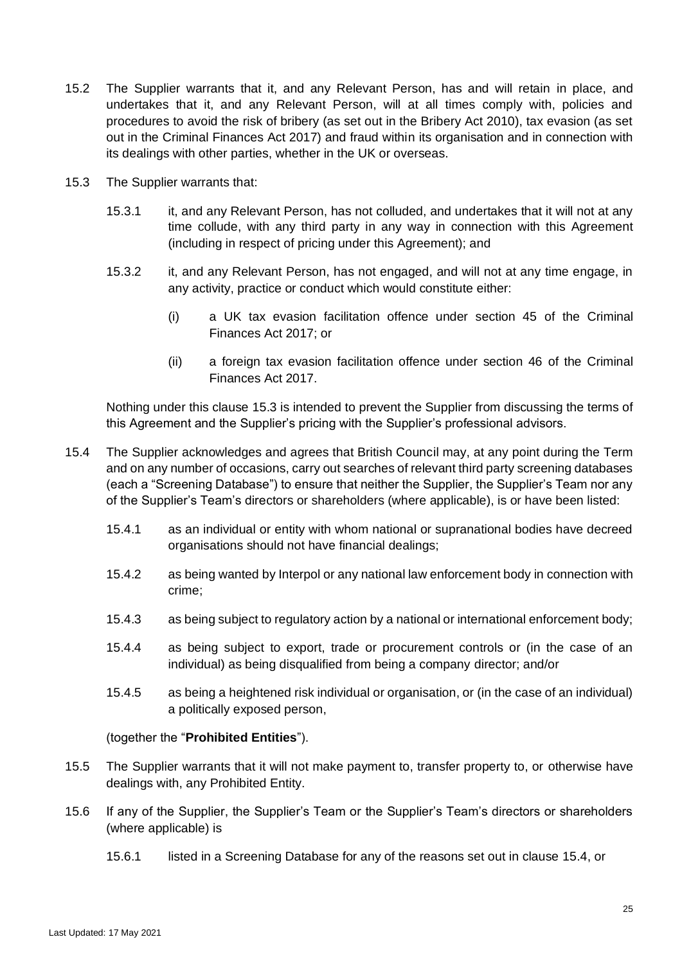- <span id="page-24-2"></span>15.2 The Supplier warrants that it, and any Relevant Person, has and will retain in place, and undertakes that it, and any Relevant Person, will at all times comply with, policies and procedures to avoid the risk of bribery (as set out in the Bribery Act 2010), tax evasion (as set out in the Criminal Finances Act 2017) and fraud within its organisation and in connection with its dealings with other parties, whether in the UK or overseas.
- <span id="page-24-0"></span>15.3 The Supplier warrants that:
	- 15.3.1 it, and any Relevant Person, has not colluded, and undertakes that it will not at any time collude, with any third party in any way in connection with this Agreement (including in respect of pricing under this Agreement); and
	- 15.3.2 it, and any Relevant Person, has not engaged, and will not at any time engage, in any activity, practice or conduct which would constitute either:
		- (i) a UK tax evasion facilitation offence under section 45 of the Criminal Finances Act 2017; or
		- (ii) a foreign tax evasion facilitation offence under section 46 of the Criminal Finances Act 2017.

Nothing under this clause [15.3](#page-24-0) is intended to prevent the Supplier from discussing the terms of this Agreement and the Supplier's pricing with the Supplier's professional advisors.

- <span id="page-24-1"></span>15.4 The Supplier acknowledges and agrees that British Council may, at any point during the Term and on any number of occasions, carry out searches of relevant third party screening databases (each a "Screening Database") to ensure that neither the Supplier, the Supplier's Team nor any of the Supplier's Team's directors or shareholders (where applicable), is or have been listed:
	- 15.4.1 as an individual or entity with whom national or supranational bodies have decreed organisations should not have financial dealings;
	- 15.4.2 as being wanted by Interpol or any national law enforcement body in connection with crime;
	- 15.4.3 as being subject to regulatory action by a national or international enforcement body;
	- 15.4.4 as being subject to export, trade or procurement controls or (in the case of an individual) as being disqualified from being a company director; and/or
	- 15.4.5 as being a heightened risk individual or organisation, or (in the case of an individual) a politically exposed person,

#### (together the "**Prohibited Entities**").

- <span id="page-24-3"></span>15.5 The Supplier warrants that it will not make payment to, transfer property to, or otherwise have dealings with, any Prohibited Entity.
- <span id="page-24-5"></span><span id="page-24-4"></span>15.6 If any of the Supplier, the Supplier's Team or the Supplier's Team's directors or shareholders (where applicable) is
	- 15.6.1 listed in a Screening Database for any of the reasons set out in clause [15.4,](#page-24-1) or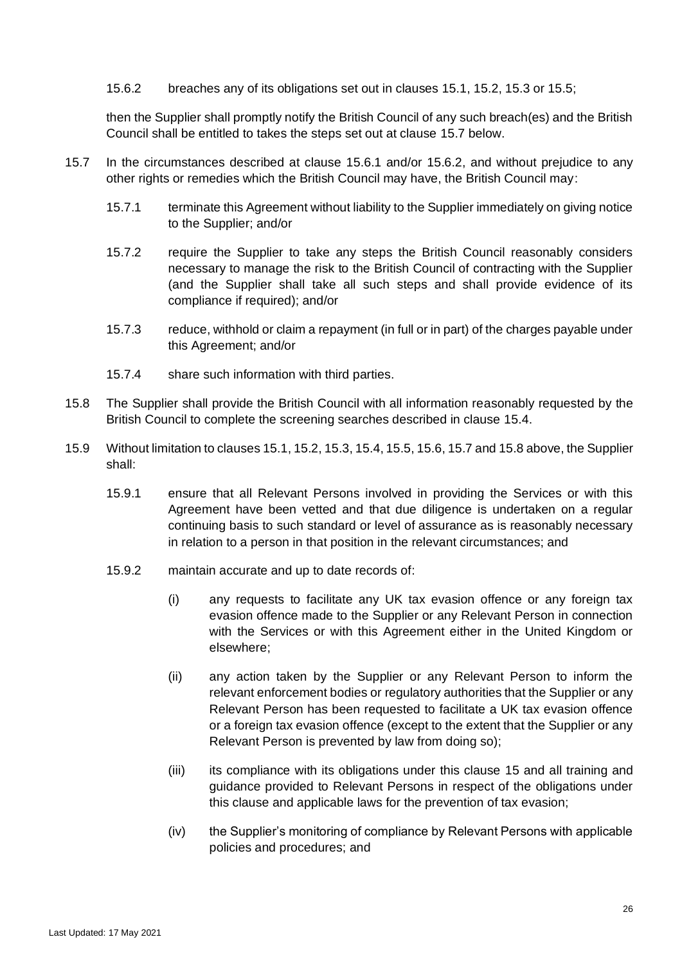<span id="page-25-1"></span>15.6.2 breaches any of its obligations set out in clauses [15.1,](#page-23-3) [15.2,](#page-24-2) [15.3](#page-24-0) or [15.5;](#page-24-3)

then the Supplier shall promptly notify the British Council of any such breach(es) and the British Council shall be entitled to takes the steps set out at clause [15.7](#page-25-0) below.

- <span id="page-25-0"></span>15.7 In the circumstances described at clause [15.6.1](#page-24-4) and/or [15.6.2,](#page-25-1) and without prejudice to any other rights or remedies which the British Council may have, the British Council may:
	- 15.7.1 terminate this Agreement without liability to the Supplier immediately on giving notice to the Supplier; and/or
	- 15.7.2 require the Supplier to take any steps the British Council reasonably considers necessary to manage the risk to the British Council of contracting with the Supplier (and the Supplier shall take all such steps and shall provide evidence of its compliance if required); and/or
	- 15.7.3 reduce, withhold or claim a repayment (in full or in part) of the charges payable under this Agreement; and/or
	- 15.7.4 share such information with third parties.
- <span id="page-25-2"></span>15.8 The Supplier shall provide the British Council with all information reasonably requested by the British Council to complete the screening searches described in clause [15.4.](#page-24-1)
- <span id="page-25-3"></span>15.9 Without limitation to clause[s 15.1,](#page-23-3) [15.2,](#page-24-2) [15.3,](#page-24-0) [15.4,](#page-24-1) [15.5,](#page-24-3) [15.6,](#page-24-5) [15.7](#page-25-0) an[d 15.8](#page-25-2) above, the Supplier shall:
	- 15.9.1 ensure that all Relevant Persons involved in providing the Services or with this Agreement have been vetted and that due diligence is undertaken on a regular continuing basis to such standard or level of assurance as is reasonably necessary in relation to a person in that position in the relevant circumstances; and
	- 15.9.2 maintain accurate and up to date records of:
		- (i) any requests to facilitate any UK tax evasion offence or any foreign tax evasion offence made to the Supplier or any Relevant Person in connection with the Services or with this Agreement either in the United Kingdom or elsewhere;
		- (ii) any action taken by the Supplier or any Relevant Person to inform the relevant enforcement bodies or regulatory authorities that the Supplier or any Relevant Person has been requested to facilitate a UK tax evasion offence or a foreign tax evasion offence (except to the extent that the Supplier or any Relevant Person is prevented by law from doing so);
		- (iii) its compliance with its obligations under this clause [15](#page-23-4) and all training and guidance provided to Relevant Persons in respect of the obligations under this clause and applicable laws for the prevention of tax evasion;
		- (iv) the Supplier's monitoring of compliance by Relevant Persons with applicable policies and procedures; and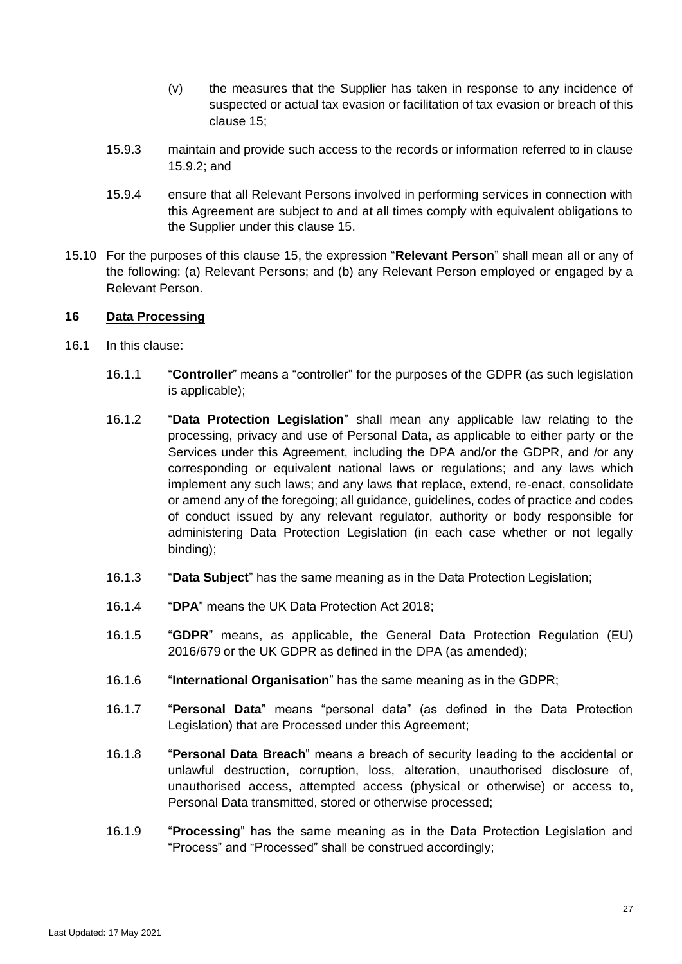- (v) the measures that the Supplier has taken in response to any incidence of suspected or actual tax evasion or facilitation of tax evasion or breach of this clause [15;](#page-23-4)
- 15.9.3 maintain and provide such access to the records or information referred to in clause [15.9.2;](#page-25-3) and
- 15.9.4 ensure that all Relevant Persons involved in performing services in connection with this Agreement are subject to and at all times comply with equivalent obligations to the Supplier under this clause [15.](#page-23-4)
- 15.10 For the purposes of this clause [15,](#page-23-4) the expression "**Relevant Person**" shall mean all or any of the following: (a) Relevant Persons; and (b) any Relevant Person employed or engaged by a Relevant Person.

#### <span id="page-26-0"></span>**16 Data Processing**

- <span id="page-26-1"></span>16.1 In this clause:
	- 16.1.1 "**Controller**" means a "controller" for the purposes of the GDPR (as such legislation is applicable);
	- 16.1.2 "**Data Protection Legislation**" shall mean any applicable law relating to the processing, privacy and use of Personal Data, as applicable to either party or the Services under this Agreement, including the DPA and/or the GDPR, and /or any corresponding or equivalent national laws or regulations; and any laws which implement any such laws; and any laws that replace, extend, re-enact, consolidate or amend any of the foregoing; all guidance, guidelines, codes of practice and codes of conduct issued by any relevant regulator, authority or body responsible for administering Data Protection Legislation (in each case whether or not legally binding);
	- 16.1.3 "**Data Subject**" has the same meaning as in the Data Protection Legislation;
	- 16.1.4 "**DPA**" means the UK Data Protection Act 2018;
	- 16.1.5 "**GDPR**" means, as applicable, the General Data Protection Regulation (EU) 2016/679 or the UK GDPR as defined in the DPA (as amended);
	- 16.1.6 "**International Organisation**" has the same meaning as in the GDPR;
	- 16.1.7 "**Personal Data**" means "personal data" (as defined in the Data Protection Legislation) that are Processed under this Agreement;
	- 16.1.8 "**Personal Data Breach**" means a breach of security leading to the accidental or unlawful destruction, corruption, loss, alteration, unauthorised disclosure of, unauthorised access, attempted access (physical or otherwise) or access to, Personal Data transmitted, stored or otherwise processed;
	- 16.1.9 "**Processing**" has the same meaning as in the Data Protection Legislation and "Process" and "Processed" shall be construed accordingly;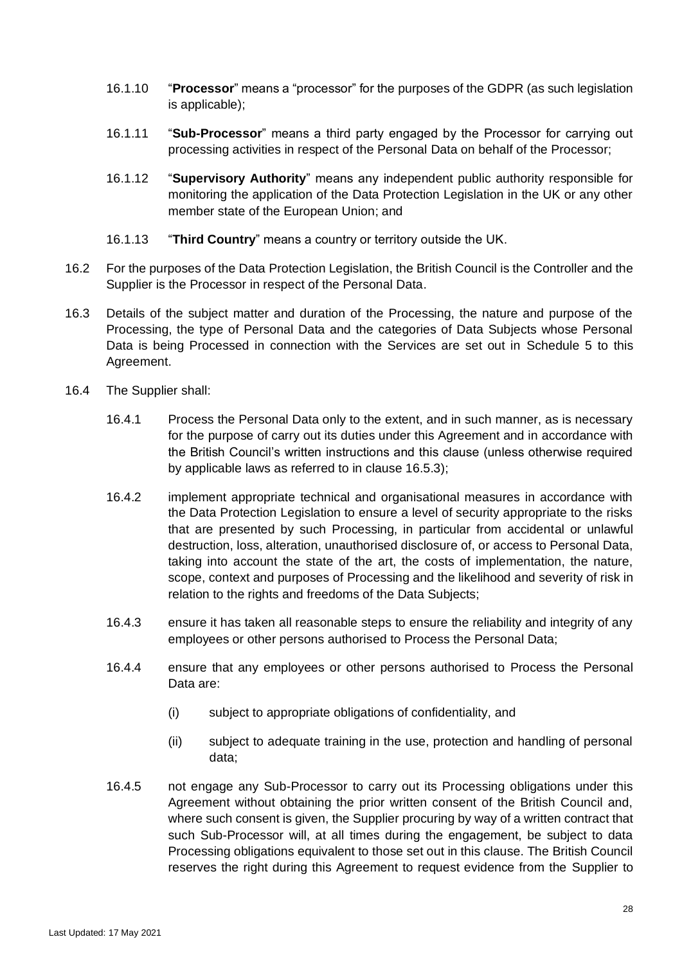- 16.1.10 "**Processor**" means a "processor" for the purposes of the GDPR (as such legislation is applicable);
- 16.1.11 "**Sub-Processor**" means a third party engaged by the Processor for carrying out processing activities in respect of the Personal Data on behalf of the Processor;
- 16.1.12 "**Supervisory Authority**" means any independent public authority responsible for monitoring the application of the Data Protection Legislation in the UK or any other member state of the European Union; and
- 16.1.13 "**Third Country**" means a country or territory outside the UK.
- 16.2 For the purposes of the Data Protection Legislation, the British Council is the Controller and the Supplier is the Processor in respect of the Personal Data.
- 16.3 Details of the subject matter and duration of the Processing, the nature and purpose of the Processing, the type of Personal Data and the categories of Data Subjects whose Personal Data is being Processed in connection with the Services are set out in [Schedule 5](#page-36-0) to this Agreement.
- <span id="page-27-1"></span><span id="page-27-0"></span>16.4 The Supplier shall:
	- 16.4.1 Process the Personal Data only to the extent, and in such manner, as is necessary for the purpose of carry out its duties under this Agreement and in accordance with the British Council's written instructions and this clause (unless otherwise required by applicable laws as referred to in clause [16.5.3\)](#page-28-0);
	- 16.4.2 implement appropriate technical and organisational measures in accordance with the Data Protection Legislation to ensure a level of security appropriate to the risks that are presented by such Processing, in particular from accidental or unlawful destruction, loss, alteration, unauthorised disclosure of, or access to Personal Data, taking into account the state of the art, the costs of implementation, the nature, scope, context and purposes of Processing and the likelihood and severity of risk in relation to the rights and freedoms of the Data Subjects;
	- 16.4.3 ensure it has taken all reasonable steps to ensure the reliability and integrity of any employees or other persons authorised to Process the Personal Data;
	- 16.4.4 ensure that any employees or other persons authorised to Process the Personal Data are:
		- (i) subject to appropriate obligations of confidentiality, and
		- (ii) subject to adequate training in the use, protection and handling of personal data;
	- 16.4.5 not engage any Sub-Processor to carry out its Processing obligations under this Agreement without obtaining the prior written consent of the British Council and, where such consent is given, the Supplier procuring by way of a written contract that such Sub-Processor will, at all times during the engagement, be subject to data Processing obligations equivalent to those set out in this clause. The British Council reserves the right during this Agreement to request evidence from the Supplier to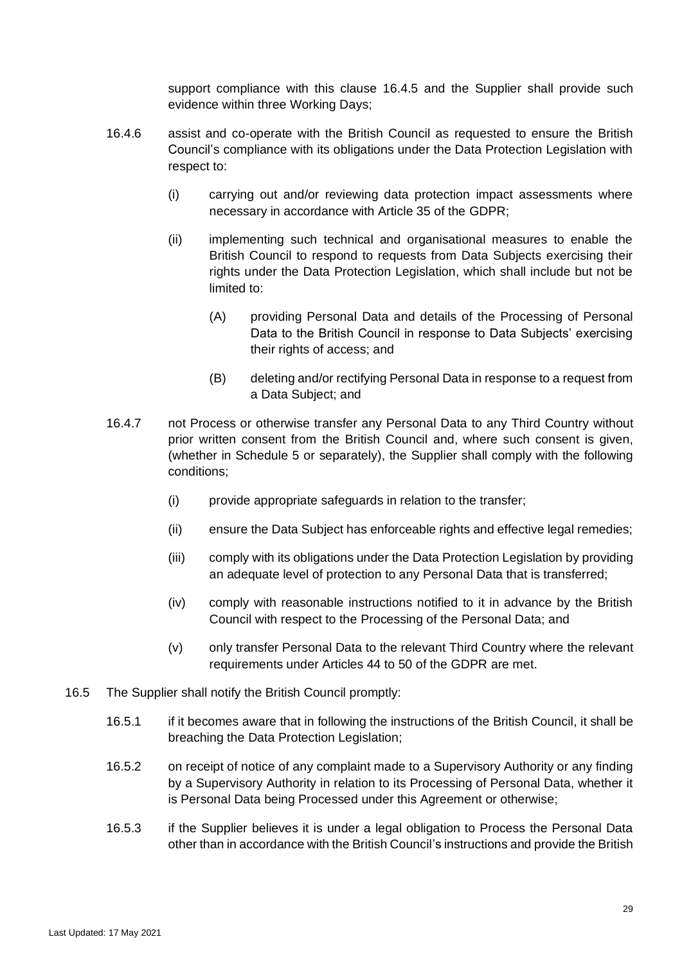support compliance with this clause [16.4.5](#page-27-0) and the Supplier shall provide such evidence within three Working Days;

- 16.4.6 assist and co-operate with the British Council as requested to ensure the British Council's compliance with its obligations under the Data Protection Legislation with respect to:
	- (i) carrying out and/or reviewing data protection impact assessments where necessary in accordance with Article 35 of the GDPR;
	- (ii) implementing such technical and organisational measures to enable the British Council to respond to requests from Data Subjects exercising their rights under the Data Protection Legislation, which shall include but not be limited to:
		- (A) providing Personal Data and details of the Processing of Personal Data to the British Council in response to Data Subjects' exercising their rights of access; and
		- (B) deleting and/or rectifying Personal Data in response to a request from a Data Subject; and
- 16.4.7 not Process or otherwise transfer any Personal Data to any Third Country without prior written consent from the British Council and, where such consent is given, (whether in [Schedule 5](#page-36-0) or separately), the Supplier shall comply with the following conditions;
	- (i) provide appropriate safeguards in relation to the transfer;
	- (ii) ensure the Data Subject has enforceable rights and effective legal remedies;
	- (iii) comply with its obligations under the Data Protection Legislation by providing an adequate level of protection to any Personal Data that is transferred;
	- (iv) comply with reasonable instructions notified to it in advance by the British Council with respect to the Processing of the Personal Data; and
	- (v) only transfer Personal Data to the relevant Third Country where the relevant requirements under Articles 44 to 50 of the GDPR are met.
- <span id="page-28-0"></span>16.5 The Supplier shall notify the British Council promptly:
	- 16.5.1 if it becomes aware that in following the instructions of the British Council, it shall be breaching the Data Protection Legislation;
	- 16.5.2 on receipt of notice of any complaint made to a Supervisory Authority or any finding by a Supervisory Authority in relation to its Processing of Personal Data, whether it is Personal Data being Processed under this Agreement or otherwise;
	- 16.5.3 if the Supplier believes it is under a legal obligation to Process the Personal Data other than in accordance with the British Council's instructions and provide the British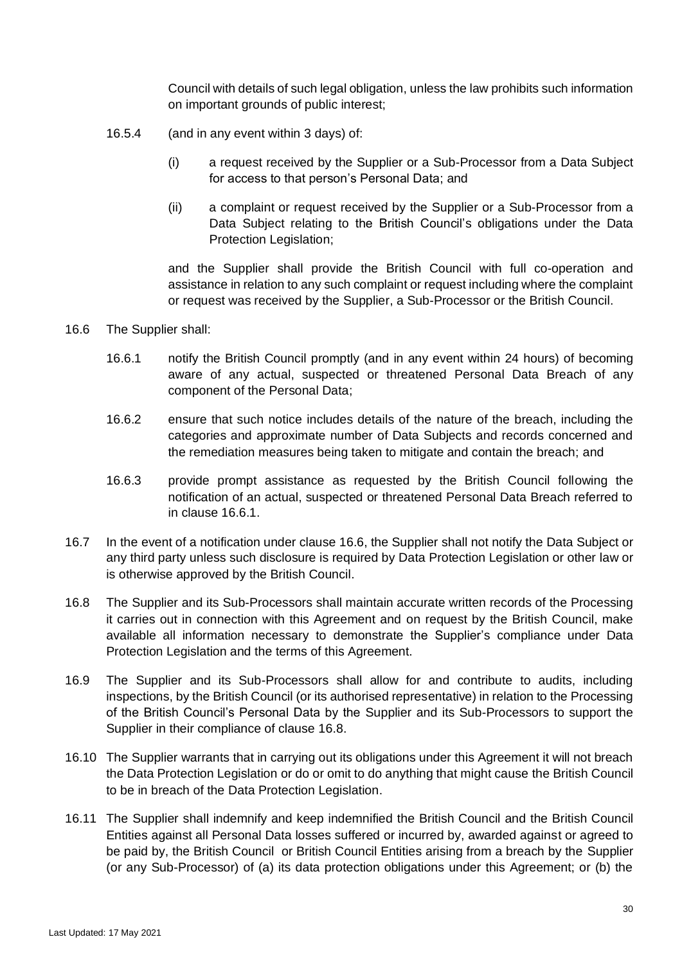Council with details of such legal obligation, unless the law prohibits such information on important grounds of public interest;

- 16.5.4 (and in any event within 3 days) of:
	- (i) a request received by the Supplier or a Sub-Processor from a Data Subject for access to that person's Personal Data; and
	- (ii) a complaint or request received by the Supplier or a Sub-Processor from a Data Subject relating to the British Council's obligations under the Data Protection Legislation;

and the Supplier shall provide the British Council with full co-operation and assistance in relation to any such complaint or request including where the complaint or request was received by the Supplier, a Sub-Processor or the British Council.

- <span id="page-29-1"></span><span id="page-29-0"></span>16.6 The Supplier shall:
	- 16.6.1 notify the British Council promptly (and in any event within 24 hours) of becoming aware of any actual, suspected or threatened Personal Data Breach of any component of the Personal Data;
	- 16.6.2 ensure that such notice includes details of the nature of the breach, including the categories and approximate number of Data Subjects and records concerned and the remediation measures being taken to mitigate and contain the breach; and
	- 16.6.3 provide prompt assistance as requested by the British Council following the notification of an actual, suspected or threatened Personal Data Breach referred to in clause [16.6.1.](#page-29-0)
- 16.7 In the event of a notification under clause [16.6,](#page-29-1) the Supplier shall not notify the Data Subject or any third party unless such disclosure is required by Data Protection Legislation or other law or is otherwise approved by the British Council.
- <span id="page-29-2"></span>16.8 The Supplier and its Sub-Processors shall maintain accurate written records of the Processing it carries out in connection with this Agreement and on request by the British Council, make available all information necessary to demonstrate the Supplier's compliance under Data Protection Legislation and the terms of this Agreement.
- 16.9 The Supplier and its Sub-Processors shall allow for and contribute to audits, including inspections, by the British Council (or its authorised representative) in relation to the Processing of the British Council's Personal Data by the Supplier and its Sub-Processors to support the Supplier in their compliance of clause [16.8.](#page-29-2)
- 16.10 The Supplier warrants that in carrying out its obligations under this Agreement it will not breach the Data Protection Legislation or do or omit to do anything that might cause the British Council to be in breach of the Data Protection Legislation.
- 16.11 The Supplier shall indemnify and keep indemnified the British Council and the British Council Entities against all Personal Data losses suffered or incurred by, awarded against or agreed to be paid by, the British Council or British Council Entities arising from a breach by the Supplier (or any Sub-Processor) of (a) its data protection obligations under this Agreement; or (b) the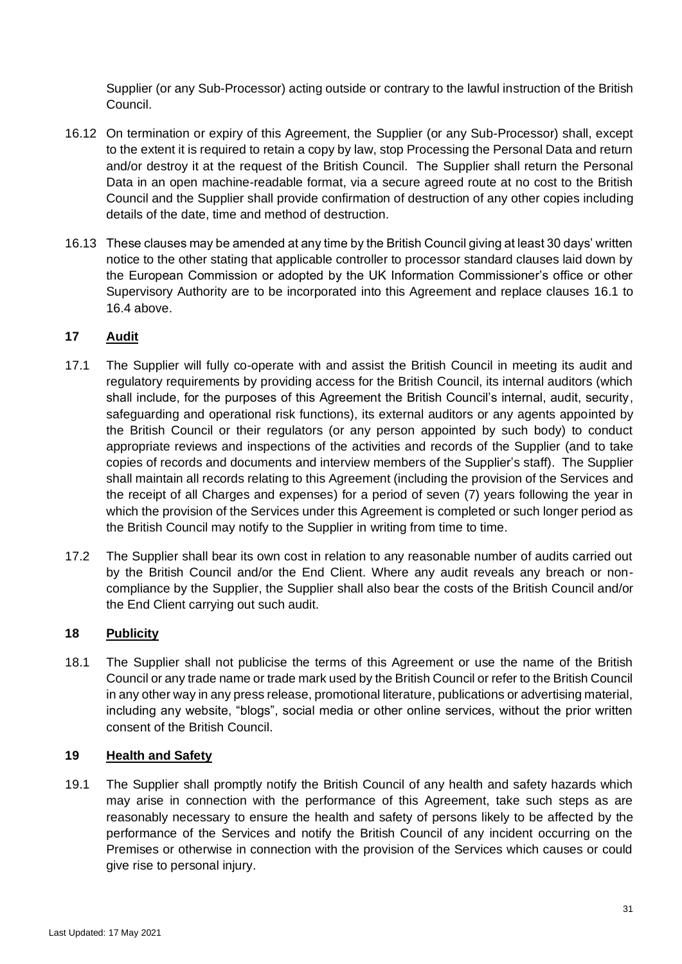Supplier (or any Sub-Processor) acting outside or contrary to the lawful instruction of the British Council.

- 16.12 On termination or expiry of this Agreement, the Supplier (or any Sub-Processor) shall, except to the extent it is required to retain a copy by law, stop Processing the Personal Data and return and/or destroy it at the request of the British Council. The Supplier shall return the Personal Data in an open machine-readable format, via a secure agreed route at no cost to the British Council and the Supplier shall provide confirmation of destruction of any other copies including details of the date, time and method of destruction.
- 16.13 These clauses may be amended at any time by the British Council giving at least 30 days' written notice to the other stating that applicable controller to processor standard clauses laid down by the European Commission or adopted by the UK Information Commissioner's office or other Supervisory Authority are to be incorporated into this Agreement and replace clauses [16.1](#page-26-1) to [16.4](#page-27-1) above.

# **17 Audit**

- 17.1 The Supplier will fully co-operate with and assist the British Council in meeting its audit and regulatory requirements by providing access for the British Council, its internal auditors (which shall include, for the purposes of this Agreement the British Council's internal, audit, security, safeguarding and operational risk functions), its external auditors or any agents appointed by the British Council or their regulators (or any person appointed by such body) to conduct appropriate reviews and inspections of the activities and records of the Supplier (and to take copies of records and documents and interview members of the Supplier's staff). The Supplier shall maintain all records relating to this Agreement (including the provision of the Services and the receipt of all Charges and expenses) for a period of seven (7) years following the year in which the provision of the Services under this Agreement is completed or such longer period as the British Council may notify to the Supplier in writing from time to time.
- 17.2 The Supplier shall bear its own cost in relation to any reasonable number of audits carried out by the British Council and/or the End Client. Where any audit reveals any breach or noncompliance by the Supplier, the Supplier shall also bear the costs of the British Council and/or the End Client carrying out such audit.

# **18 Publicity**

18.1 The Supplier shall not publicise the terms of this Agreement or use the name of the British Council or any trade name or trade mark used by the British Council or refer to the British Council in any other way in any press release, promotional literature, publications or advertising material, including any website, "blogs", social media or other online services, without the prior written consent of the British Council.

#### **19 Health and Safety**

19.1 The Supplier shall promptly notify the British Council of any health and safety hazards which may arise in connection with the performance of this Agreement, take such steps as are reasonably necessary to ensure the health and safety of persons likely to be affected by the performance of the Services and notify the British Council of any incident occurring on the Premises or otherwise in connection with the provision of the Services which causes or could give rise to personal injury.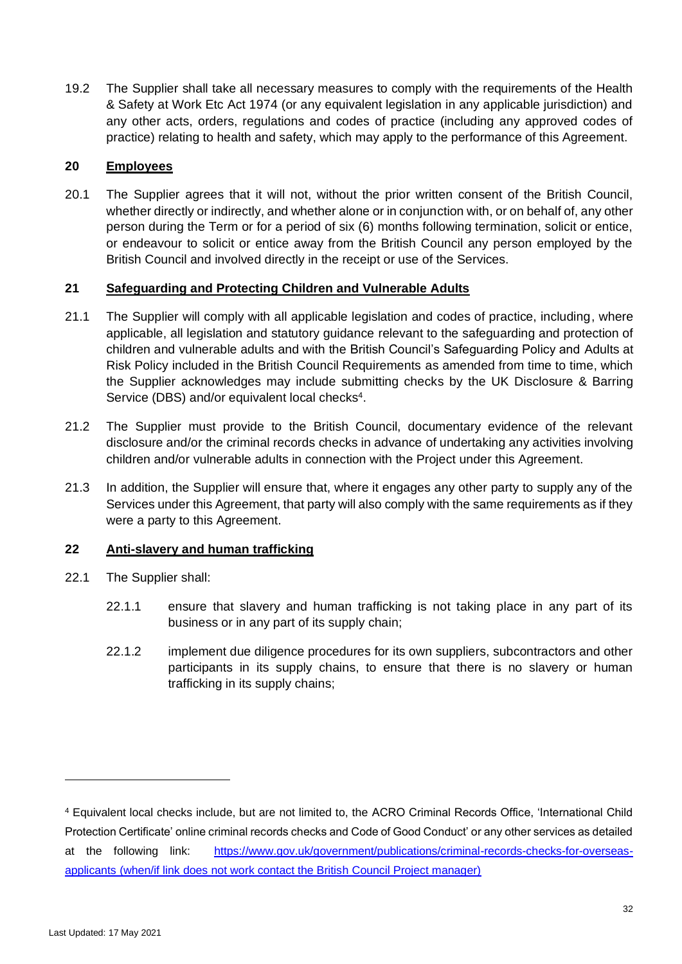19.2 The Supplier shall take all necessary measures to comply with the requirements of the Health & Safety at Work Etc Act 1974 (or any equivalent legislation in any applicable jurisdiction) and any other acts, orders, regulations and codes of practice (including any approved codes of practice) relating to health and safety, which may apply to the performance of this Agreement.

#### **20 Employees**

20.1 The Supplier agrees that it will not, without the prior written consent of the British Council, whether directly or indirectly, and whether alone or in conjunction with, or on behalf of, any other person during the Term or for a period of six (6) months following termination, solicit or entice, or endeavour to solicit or entice away from the British Council any person employed by the British Council and involved directly in the receipt or use of the Services.

#### **21 Safeguarding and Protecting Children and Vulnerable Adults**

- 21.1 The Supplier will comply with all applicable legislation and codes of practice, including, where applicable, all legislation and statutory guidance relevant to the safeguarding and protection of children and vulnerable adults and with the British Council's Safeguarding Policy and Adults at Risk Policy included in the British Council Requirements as amended from time to time, which the Supplier acknowledges may include submitting checks by the UK Disclosure & Barring Service (DBS) and/or equivalent local checks<sup>4</sup>.
- 21.2 The Supplier must provide to the British Council, documentary evidence of the relevant disclosure and/or the criminal records checks in advance of undertaking any activities involving children and/or vulnerable adults in connection with the Project under this Agreement.
- 21.3 In addition, the Supplier will ensure that, where it engages any other party to supply any of the Services under this Agreement, that party will also comply with the same requirements as if they were a party to this Agreement.

#### **22 Anti-slavery and human trafficking**

- <span id="page-31-0"></span>22.1 The Supplier shall:
	- 22.1.1 ensure that slavery and human trafficking is not taking place in any part of its business or in any part of its supply chain;
	- 22.1.2 implement due diligence procedures for its own suppliers, subcontractors and other participants in its supply chains, to ensure that there is no slavery or human trafficking in its supply chains;

<sup>4</sup> Equivalent local checks include, but are not limited to, the ACRO Criminal Records Office, 'International Child Protection Certificate' online criminal records checks and Code of Good Conduct' or any other services as detailed at the following link: [https://www.gov.uk/government/publications/criminal-records-checks-for-overseas](https://www.gov.uk/government/publications/criminal-records-checks-for-overseas-applicants)[applicants](https://www.gov.uk/government/publications/criminal-records-checks-for-overseas-applicants) (when/if link does not work contact the British Council Project manager)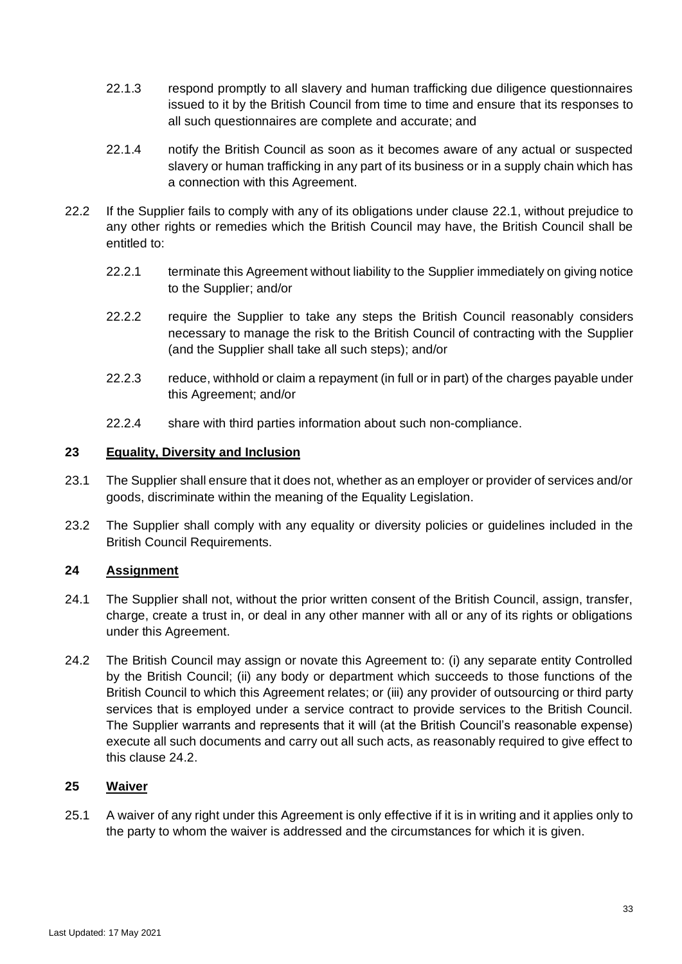- 22.1.3 respond promptly to all slavery and human trafficking due diligence questionnaires issued to it by the British Council from time to time and ensure that its responses to all such questionnaires are complete and accurate; and
- 22.1.4 notify the British Council as soon as it becomes aware of any actual or suspected slavery or human trafficking in any part of its business or in a supply chain which has a connection with this Agreement.
- 22.2 If the Supplier fails to comply with any of its obligations under clause [22.1,](#page-31-0) without prejudice to any other rights or remedies which the British Council may have, the British Council shall be entitled to:
	- 22.2.1 terminate this Agreement without liability to the Supplier immediately on giving notice to the Supplier; and/or
	- 22.2.2 require the Supplier to take any steps the British Council reasonably considers necessary to manage the risk to the British Council of contracting with the Supplier (and the Supplier shall take all such steps); and/or
	- 22.2.3 reduce, withhold or claim a repayment (in full or in part) of the charges payable under this Agreement; and/or
	- 22.2.4 share with third parties information about such non-compliance.

#### **23 Equality, Diversity and Inclusion**

- 23.1 The Supplier shall ensure that it does not, whether as an employer or provider of services and/or goods, discriminate within the meaning of the Equality Legislation.
- 23.2 The Supplier shall comply with any equality or diversity policies or guidelines included in the British Council Requirements.

#### <span id="page-32-1"></span>**24 Assignment**

- 24.1 The Supplier shall not, without the prior written consent of the British Council, assign, transfer, charge, create a trust in, or deal in any other manner with all or any of its rights or obligations under this Agreement.
- <span id="page-32-0"></span>24.2 The British Council may assign or novate this Agreement to: (i) any separate entity Controlled by the British Council; (ii) any body or department which succeeds to those functions of the British Council to which this Agreement relates; or (iii) any provider of outsourcing or third party services that is employed under a service contract to provide services to the British Council. The Supplier warrants and represents that it will (at the British Council's reasonable expense) execute all such documents and carry out all such acts, as reasonably required to give effect to this clause [24.2.](#page-32-0)

### **25 Waiver**

25.1 A waiver of any right under this Agreement is only effective if it is in writing and it applies only to the party to whom the waiver is addressed and the circumstances for which it is given.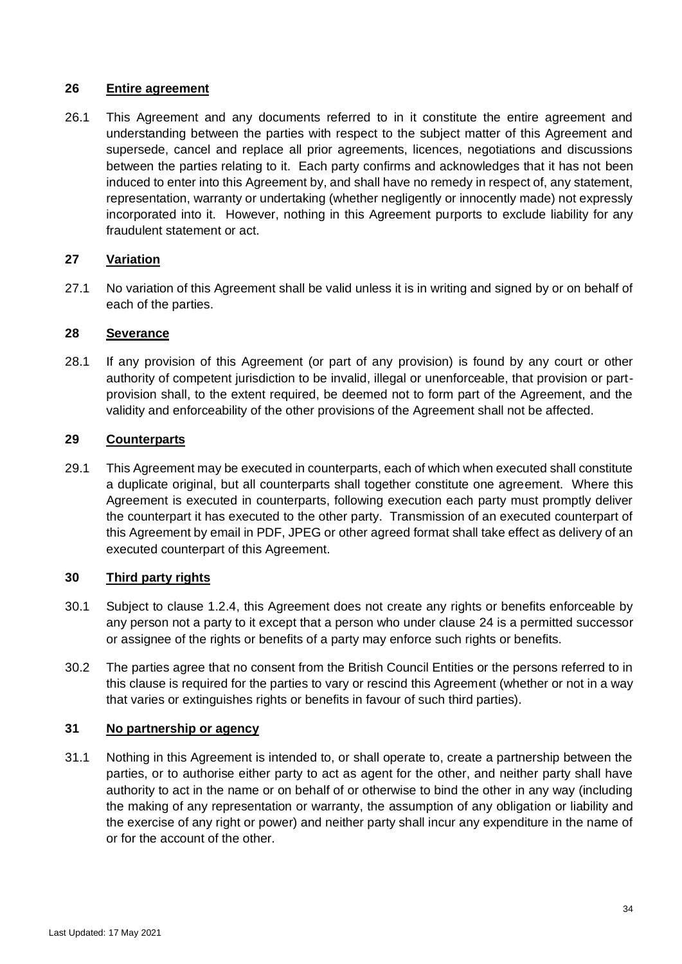#### **26 Entire agreement**

26.1 This Agreement and any documents referred to in it constitute the entire agreement and understanding between the parties with respect to the subject matter of this Agreement and supersede, cancel and replace all prior agreements, licences, negotiations and discussions between the parties relating to it. Each party confirms and acknowledges that it has not been induced to enter into this Agreement by, and shall have no remedy in respect of, any statement, representation, warranty or undertaking (whether negligently or innocently made) not expressly incorporated into it. However, nothing in this Agreement purports to exclude liability for any fraudulent statement or act.

### <span id="page-33-0"></span>**27 Variation**

27.1 No variation of this Agreement shall be valid unless it is in writing and signed by or on behalf of each of the parties.

#### **28 Severance**

28.1 If any provision of this Agreement (or part of any provision) is found by any court or other authority of competent jurisdiction to be invalid, illegal or unenforceable, that provision or partprovision shall, to the extent required, be deemed not to form part of the Agreement, and the validity and enforceability of the other provisions of the Agreement shall not be affected.

### **29 Counterparts**

29.1 This Agreement may be executed in counterparts, each of which when executed shall constitute a duplicate original, but all counterparts shall together constitute one agreement. Where this Agreement is executed in counterparts, following execution each party must promptly deliver the counterpart it has executed to the other party. Transmission of an executed counterpart of this Agreement by email in PDF, JPEG or other agreed format shall take effect as delivery of an executed counterpart of this Agreement.

#### **30 Third party rights**

- 30.1 Subject to clause [1.2.4,](#page-11-1) this Agreement does not create any rights or benefits enforceable by any person not a party to it except that a person who under clause [24](#page-32-1) is a permitted successor or assignee of the rights or benefits of a party may enforce such rights or benefits.
- 30.2 The parties agree that no consent from the British Council Entities or the persons referred to in this clause is required for the parties to vary or rescind this Agreement (whether or not in a way that varies or extinguishes rights or benefits in favour of such third parties).

#### **31 No partnership or agency**

31.1 Nothing in this Agreement is intended to, or shall operate to, create a partnership between the parties, or to authorise either party to act as agent for the other, and neither party shall have authority to act in the name or on behalf of or otherwise to bind the other in any way (including the making of any representation or warranty, the assumption of any obligation or liability and the exercise of any right or power) and neither party shall incur any expenditure in the name of or for the account of the other.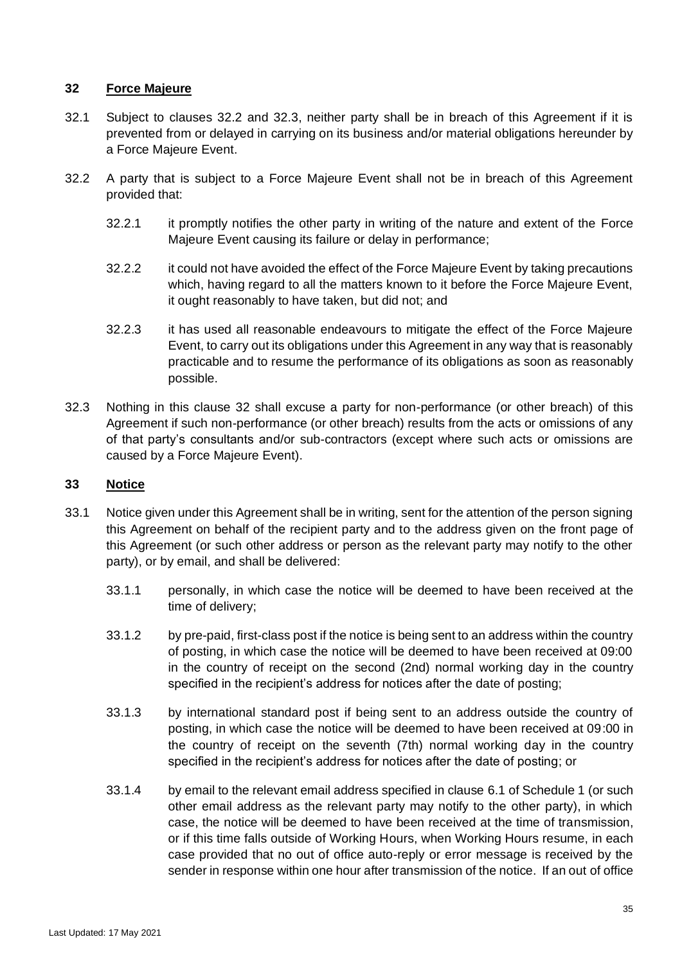### **32 Force Majeure**

- 32.1 Subject to clauses 32.2 and 32.3, neither party shall be in breach of this Agreement if it is prevented from or delayed in carrying on its business and/or material obligations hereunder by a Force Majeure Event.
- 32.2 A party that is subject to a Force Majeure Event shall not be in breach of this Agreement provided that:
	- 32.2.1 it promptly notifies the other party in writing of the nature and extent of the Force Majeure Event causing its failure or delay in performance;
	- 32.2.2 it could not have avoided the effect of the Force Majeure Event by taking precautions which, having regard to all the matters known to it before the Force Majeure Event, it ought reasonably to have taken, but did not; and
	- 32.2.3 it has used all reasonable endeavours to mitigate the effect of the Force Majeure Event, to carry out its obligations under this Agreement in any way that is reasonably practicable and to resume the performance of its obligations as soon as reasonably possible.
- 32.3 Nothing in this clause 32 shall excuse a party for non-performance (or other breach) of this Agreement if such non-performance (or other breach) results from the acts or omissions of any of that party's consultants and/or sub-contractors (except where such acts or omissions are caused by a Force Majeure Event).

### <span id="page-34-0"></span>**33 Notice**

- 33.1 Notice given under this Agreement shall be in writing, sent for the attention of the person signing this Agreement on behalf of the recipient party and to the address given on the front page of this Agreement (or such other address or person as the relevant party may notify to the other party), or by email, and shall be delivered:
	- 33.1.1 personally, in which case the notice will be deemed to have been received at the time of delivery;
	- 33.1.2 by pre-paid, first-class post if the notice is being sent to an address within the country of posting, in which case the notice will be deemed to have been received at 09:00 in the country of receipt on the second (2nd) normal working day in the country specified in the recipient's address for notices after the date of posting;
	- 33.1.3 by international standard post if being sent to an address outside the country of posting, in which case the notice will be deemed to have been received at 09:00 in the country of receipt on the seventh (7th) normal working day in the country specified in the recipient's address for notices after the date of posting; or
	- 33.1.4 by email to the relevant email address specified in clause 6.1 of Schedule 1 (or such other email address as the relevant party may notify to the other party), in which case, the notice will be deemed to have been received at the time of transmission, or if this time falls outside of Working Hours, when Working Hours resume, in each case provided that no out of office auto-reply or error message is received by the sender in response within one hour after transmission of the notice. If an out of office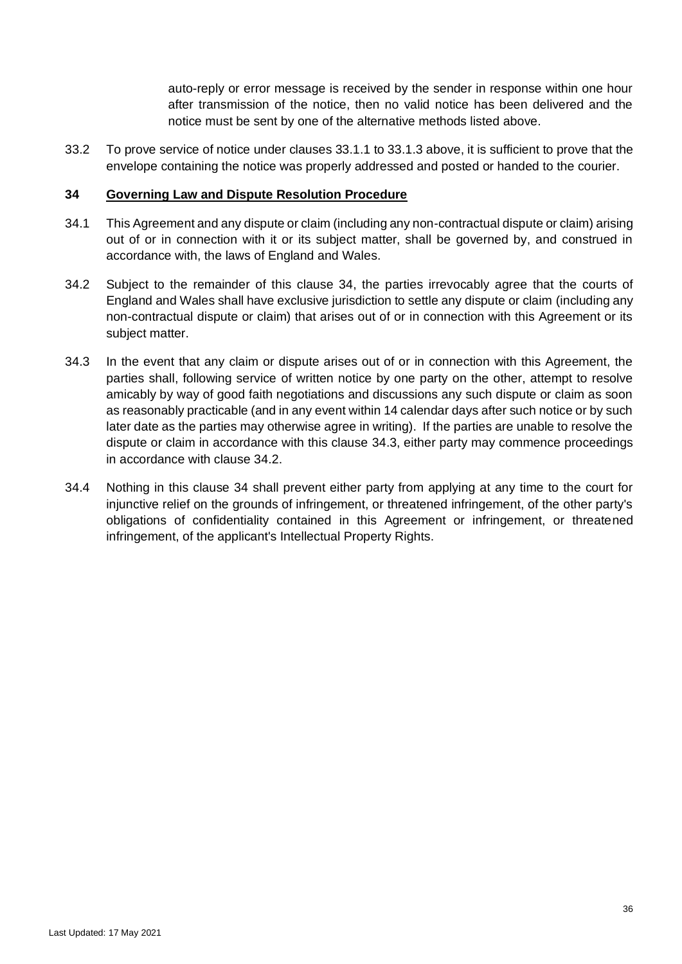auto-reply or error message is received by the sender in response within one hour after transmission of the notice, then no valid notice has been delivered and the notice must be sent by one of the alternative methods listed above.

33.2 To prove service of notice under clauses 33.1.1 to 33.1.3 above, it is sufficient to prove that the envelope containing the notice was properly addressed and posted or handed to the courier.

#### **34 Governing Law and Dispute Resolution Procedure**

- 34.1 This Agreement and any dispute or claim (including any non-contractual dispute or claim) arising out of or in connection with it or its subject matter, shall be governed by, and construed in accordance with, the laws of England and Wales.
- 34.2 Subject to the remainder of this clause 34, the parties irrevocably agree that the courts of England and Wales shall have exclusive jurisdiction to settle any dispute or claim (including any non-contractual dispute or claim) that arises out of or in connection with this Agreement or its subject matter.
- 34.3 In the event that any claim or dispute arises out of or in connection with this Agreement, the parties shall, following service of written notice by one party on the other, attempt to resolve amicably by way of good faith negotiations and discussions any such dispute or claim as soon as reasonably practicable (and in any event within 14 calendar days after such notice or by such later date as the parties may otherwise agree in writing). If the parties are unable to resolve the dispute or claim in accordance with this clause 34.3, either party may commence proceedings in accordance with clause 34.2.
- 34.4 Nothing in this clause 34 shall prevent either party from applying at any time to the court for injunctive relief on the grounds of infringement, or threatened infringement, of the other party's obligations of confidentiality contained in this Agreement or infringement, or threatened infringement, of the applicant's Intellectual Property Rights.